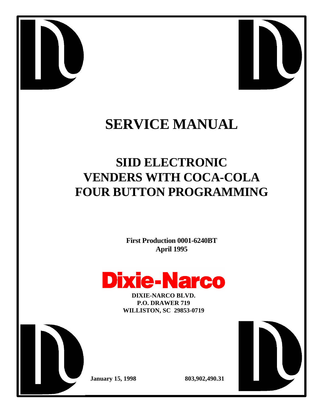



# **SERVICE MANUAL**

# **SIID ELECTRONIC VENDERS WITH COCA-COLA FOUR BUTTON PROGRAMMING**

**First Production 0001-6240BT April 1995**



**DIXIE-NARCO BLVD. P.O. DRAWER 719 WILLISTON, SC 29853-0719**



**January 15, 1998 803,902,490.31**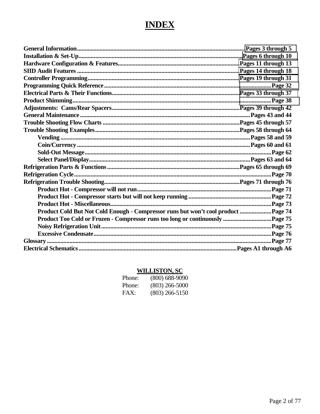# **INDEX**

| Product Cold But Not Cold Enough - Compressor runs but won't cool product  Page 74 |  |
|------------------------------------------------------------------------------------|--|
|                                                                                    |  |
|                                                                                    |  |
|                                                                                    |  |
|                                                                                    |  |
|                                                                                    |  |

# **WILLISTON, SC**

| Phone: | $(800)$ 688-9090 |
|--------|------------------|
| Phone: | $(803)$ 266-5000 |
| FAX:   | $(803)$ 266-5150 |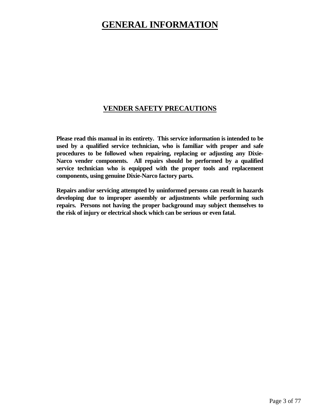# <span id="page-2-0"></span>**GENERAL INFORMATION**

### **VENDER SAFETY PRECAUTIONS**

**Please read this manual in its entirety. This service information is intended to be used by a qualified service technician, who is familiar with proper and safe procedures to be followed when repairing, replacing or adjusting any Dixie-Narco vender components. All repairs should be performed by a qualified service technician who is equipped with the proper tools and replacement components, using genuine Dixie-Narco factory parts.**

**Repairs and/or servicing attempted by uninformed persons can result in hazards developing due to improper assembly or adjustments while performing such repairs. Persons not having the proper background may subject themselves to the risk of injury or electrical shock which can be serious or even fatal.**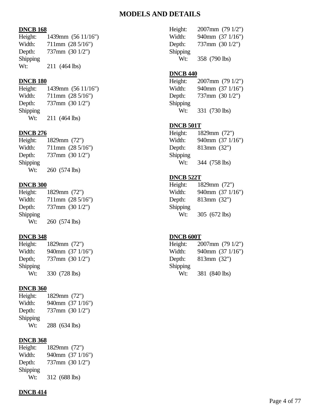### **MODELS AND DETAILS**

#### **DNCB 168**

| Height:  | 1439mm (56 11/16")         |
|----------|----------------------------|
| Width:   | $711mm$ $(28\frac{5}{16})$ |
| Depth:   | 737mm (30 1/2")            |
| Shipping |                            |
| Wt:      | 211 (464 lbs)              |

### **DNCB 180**

Height: 1439mm (56 11/16") Width: 711mm (28 5/16") Depth: 737mm (30 1/2") Shipping Wt: 211 (464 lbs)

### **DNCB 276**

Height: 1829mm (72") Width: 711mm (28 5/16") Depth: 737mm (30 1/2") Shipping Wt: 260 (574 lbs)

#### **DNCB 300**

| Height:  | 1829mm (72")     |
|----------|------------------|
| Width:   | 711mm (28 5/16") |
| Depth:   | 737mm (30 1/2")  |
| Shipping |                  |
| Wt:      | 260 (574 lbs)    |

#### **DNCB 348**

| Height:  | 1829mm (72")     |
|----------|------------------|
| Width:   | 940mm (37 1/16") |
| Depth;   | 737mm (30 1/2")  |
| Shipping |                  |
| Wt:      | 330 (728 lbs)    |

#### **DNCB 360**

| Height:          | 1829mm (72")     |
|------------------|------------------|
| Width:           | 940mm (37 1/16") |
| Depth:           | 737mm (30 1/2")  |
| Shipping         |                  |
| W <sub>t</sub> : | 288 (634 lbs)    |

#### **DNCB 368**

| Height:  | 1829mm (72")     |
|----------|------------------|
| Width:   | 940mm (37 1/16") |
| Depth:   | 737mm (30 1/2")  |
| Shipping |                  |
| Wt:      | 312 (688 lbs)    |
|          |                  |

#### **DNCB 414**

Height: 2007mm (79 1/2") Width: 940mm (37 1/16") Depth: 737mm (30 1/2") Shipping Wt: 358 (790 lbs)

#### **DNCB 440**

Height: 2007mm (79 1/2") Width: 940mm (37 1/16") Depth: 737mm (30 1/2") Shipping Wt: 331 (730 lbs)

#### **DNCB 501T**

Height: 1829mm (72") Width: 940mm (37 1/16") Depth: 813mm (32") Shipping Wt: 344 (758 lbs)

#### **DNCB 522T**

Height: 1829mm (72") Width: 940mm (37 1/16") Depth: 813mm (32") Shipping Wt: 305 (672 lbs)

#### **DNCB 600T**

Height: 2007mm (79 1/2") Width: 940mm (37 1/16") Depth: 813mm (32") Shipping Wt: 381 (840 lbs)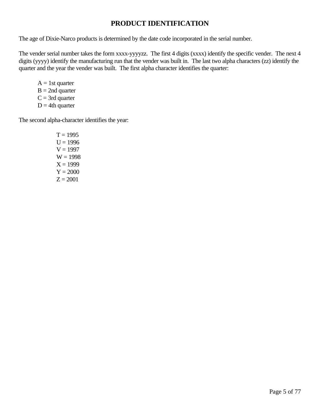### **PRODUCT IDENTIFICATION**

The age of Dixie-Narco products is determined by the date code incorporated in the serial number.

The vender serial number takes the form xxxx-yyyyzz. The first 4 digits (xxxx) identify the specific vender. The next 4 digits (yyyy) identify the manufacturing run that the vender was built in. The last two alpha characters (zz) identify the quarter and the year the vender was built. The first alpha character identifies the quarter:

 $A = 1$ st quarter  $B = 2nd$  quarter  $C = 3rd$  quarter  $D = 4$ th quarter

The second alpha-character identifies the year:

 $T = 1995$  $U = 1996$  $V = 1997$  $W = 1998$  $X = 1999$  $Y = 2000$  $Z = 2001$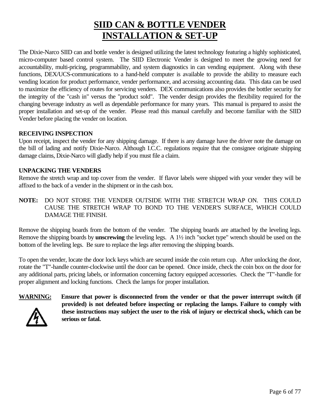# **SIID CAN & BOTTLE VENDER INSTALLATION & SET-UP**

<span id="page-5-0"></span>The Dixie-Narco SIID can and bottle vender is designed utilizing the latest technology featuring a highly sophisticated, micro-computer based control system. The SIID Electronic Vender is designed to meet the growing need for accountability, multi-pricing, programmability, and system diagnostics in can vending equipment. Along with these functions, DEX/UCS-communications to a hand-held computer is available to provide the ability to measure each vending location for product performance, vender performance, and accessing accounting data. This data can be used to maximize the efficiency of routes for servicing venders. DEX communications also provides the bottler security for the integrity of the "cash in" versus the "product sold". The vender design provides the flexibility required for the changing beverage industry as well as dependable performance for many years. This manual is prepared to assist the proper installation and set-up of the vender. Please read this manual carefully and become familiar with the SIID Vender before placing the vender on location.

### **RECEIVING INSPECTION**

Upon receipt, inspect the vender for any shipping damage. If there is any damage have the driver note the damage on the bill of lading and notify Dixie-Narco. Although I.C.C. regulations require that the consignee originate shipping damage claims, Dixie-Narco will gladly help if you must file a claim.

### **UNPACKING THE VENDERS**

Remove the stretch wrap and top cover from the vender. If flavor labels were shipped with your vender they will be affixed to the back of a vender in the shipment or in the cash box.

**NOTE:** DO NOT STORE THE VENDER OUTSIDE WITH THE STRETCH WRAP ON. THIS COULD CAUSE THE STRETCH WRAP TO BOND TO THE VENDER'S SURFACE, WHICH COULD DAMAGE THE FINISH.

Remove the shipping boards from the bottom of the vender. The shipping boards are attached by the leveling legs. Remove the shipping boards by **unscrewing** the leveling legs. A 1½ inch "socket type" wrench should be used on the bottom of the leveling legs. Be sure to replace the legs after removing the shipping boards.

To open the vender, locate the door lock keys which are secured inside the coin return cup. After unlocking the door, rotate the "T"-handle counter-clockwise until the door can be opened. Once inside, check the coin box on the door for any additional parts, pricing labels, or information concerning factory equipped accessories. Check the "T"-handle for proper alignment and locking functions. Check the lamps for proper installation.



**WARNING: Ensure that power is disconnected from the vender or that the power interrupt switch (if provided) is not defeated before inspecting or replacing the lamps. Failure to comply with these instructions may subject the user to the risk of injury or electrical shock, which can be serious or fatal.**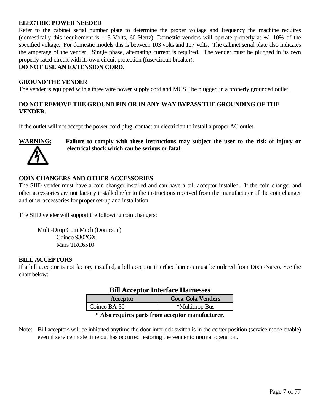#### **ELECTRIC POWER NEEDED**

Refer to the cabinet serial number plate to determine the proper voltage and frequency the machine requires (domestically this requirement is 115 Volts, 60 Hertz). Domestic venders will operate properly at +/- 10% of the specified voltage. For domestic models this is between 103 volts and 127 volts. The cabinet serial plate also indicates the amperage of the vender. Single phase, alternating current is required. The vender must be plugged in its own properly rated circuit with its own circuit protection (fuse/circuit breaker).

#### **DO NOT USE AN EXTENSION CORD.**

#### **GROUND THE VENDER**

The vender is equipped with a three wire power supply cord and MUST be plugged in a properly grounded outlet.

### **DO NOT REMOVE THE GROUND PIN OR IN ANY WAY BYPASS THE GROUNDING OF THE VENDER.**

If the outlet will not accept the power cord plug, contact an electrician to install a proper AC outlet.



**WARNING: Failure to comply with these instructions may subject the user to the risk of injury or electrical shock which can be serious or fatal.**

#### **COIN CHANGERS AND OTHER ACCESSORIES**

The SIID vender must have a coin changer installed and can have a bill acceptor installed. If the coin changer and other accessories are not factory installed refer to the instructions received from the manufacturer of the coin changer and other accessories for proper set-up and installation.

The SIID vender will support the following coin changers:

Multi-Drop Coin Mech (Domestic) Coinco 9302GX Mars TRC6510

#### **BILL ACCEPTORS**

If a bill acceptor is not factory installed, a bill acceptor interface harness must be ordered from Dixie-Narco. See the chart below:

|              | DIII Acceptor Internace Harnesses |
|--------------|-----------------------------------|
| Acceptor     | <b>Coca-Cola Venders</b>          |
| Coinco BA-30 | *Multidrop Bus                    |

### **Bill Acceptor Interface Harnesses**

#### **\* Also requires parts from acceptor manufacturer.**

Note: Bill acceptors will be inhibited anytime the door interlock switch is in the center position (service mode enable) even if service mode time out has occurred restoring the vender to normal operation.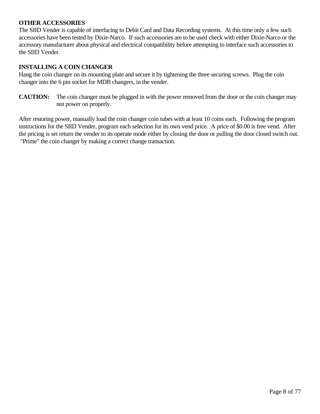### **OTHER ACCESSORIES**

The SIID Vender is capable of interfacing to Debit Card and Data Recording systems. At this time only a few such accessories have been tested by Dixie-Narco. If such accessories are to be used check with either Dixie-Narco or the accessory manufacturer about physical and electrical compatibility before attempting to interface such accessories to the SIID Vender.

#### **INSTALLING A COIN CHANGER**

Hang the coin changer on its mounting plate and secure it by tightening the three securing screws. Plug the coin changer into the 6 pin socket for MDB changers, in the vender.

**CAUTION:** The coin changer must be plugged in with the power removed from the door or the coin changer may not power on properly.

After restoring power, manually load the coin changer coin tubes with at least 10 coins each. Following the program instructions for the SIID Vender, program each selection for its own vend price. A price of \$0.00 is free vend. After the pricing is set return the vender to its operate mode either by closing the door or pulling the door closed switch out. "Prime" the coin changer by making a correct change transaction.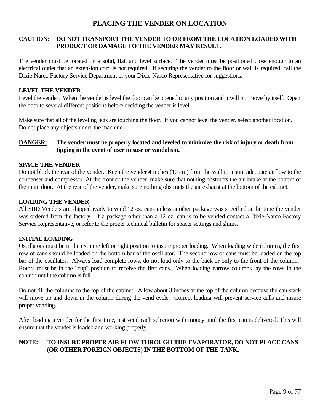### **PLACING THE VENDER ON LOCATION**

### **CAUTION: DO NOT TRANSPORT THE VENDER TO OR FROM THE LOCATION LOADED WITH PRODUCT OR DAMAGE TO THE VENDER MAY RESULT.**

The vender must be located on a solid, flat, and level surface. The vender must be positioned close enough to an electrical outlet that an extension cord is not required. If securing the vender to the floor or wall is required, call the Dixie-Narco Factory Service Department or your Dixie-Narco Representative for suggestions.

### **LEVEL THE VENDER**

Level the vender. When the vender is level the door can be opened to any position and it will not move by itself. Open the door to several different positions before deciding the vender is level.

Make sure that all of the leveling legs are touching the floor. If you cannot level the vender, select another location. Do not place any objects under the machine.

### **DANGER: The vender must be properly located and leveled to minimize the risk of injury or death from tipping in the event of user misuse or vandalism.**

### **SPACE THE VENDER**

Do not block the rear of the vender. Keep the vender 4 inches (10 cm) from the wall to insure adequate airflow to the condenser and compressor. At the front of the vender, make sure that nothing obstructs the air intake at the bottom of the main door. At the rear of the vender, make sure nothing obstructs the air exhaust at the bottom of the cabinet.

#### **LOADING THE VENDER**

All SIID Venders are shipped ready to vend 12 oz. cans unless another package was specified at the time the vender was ordered from the factory. If a package other than a 12 oz. can is to be vended contact a Dixie-Narco Factory Service Representative, or refer to the proper technical bulletin for spacer settings and shims.

### **INITIAL LOADING**

Oscillators must be in the extreme left or right position to insure proper loading. When loading wide columns, the first row of cans should be loaded on the bottom bar of the oscillator. The second row of cans must be loaded on the top bar of the oscillator. Always load complete rows, do not load only to the back or only to the front of the column. Rotors must be in the "cup" position to receive the first cans. When loading narrow columns lay the rows in the column until the column is full.

Do not fill the columns to the top of the cabinet. Allow about 3 inches at the top of the column because the can stack will move up and down in the column during the vend cycle. Correct loading will prevent service calls and insure proper vending.

After loading a vender for the first time, test vend each selection with money until the first can is delivered. This will ensure that the vender is loaded and working properly.

### **NOTE: TO INSURE PROPER AIR FLOW THROUGH THE EVAPORATOR, DO NOT PLACE CANS (OR OTHER FOREIGN OBJECTS) IN THE BOTTOM OF THE TANK.**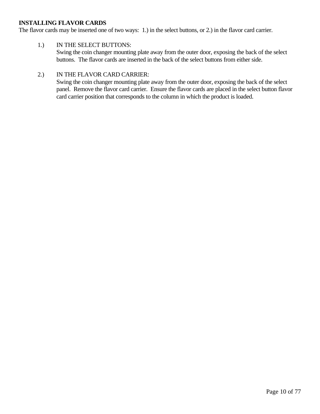### **INSTALLING FLAVOR CARDS**

The flavor cards may be inserted one of two ways: 1.) in the select buttons, or 2.) in the flavor card carrier.

#### 1.) IN THE SELECT BUTTONS:

Swing the coin changer mounting plate away from the outer door, exposing the back of the select buttons. The flavor cards are inserted in the back of the select buttons from either side.

### 2.) IN THE FLAVOR CARD CARRIER:

Swing the coin changer mounting plate away from the outer door, exposing the back of the select panel. Remove the flavor card carrier. Ensure the flavor cards are placed in the select button flavor card carrier position that corresponds to the column in which the product is loaded.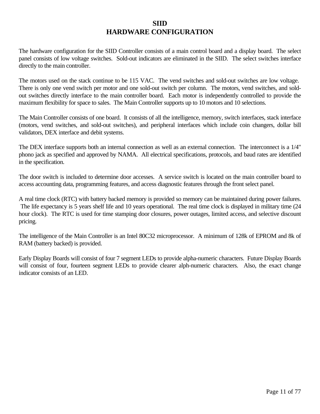### **SIID HARDWARE CONFIGURATION**

<span id="page-10-0"></span>The hardware configuration for the SIID Controller consists of a main control board and a display board. The select panel consists of low voltage switches. Sold-out indicators are eliminated in the SIID. The select switches interface directly to the main controller.

The motors used on the stack continue to be 115 VAC. The vend switches and sold-out switches are low voltage. There is only one vend switch per motor and one sold-out switch per column. The motors, vend switches, and soldout switches directly interface to the main controller board. Each motor is independently controlled to provide the maximum flexibility for space to sales. The Main Controller supports up to 10 motors and 10 selections.

The Main Controller consists of one board. It consists of all the intelligence, memory, switch interfaces, stack interface (motors, vend switches, and sold-out switches), and peripheral interfaces which include coin changers, dollar bill validators, DEX interface and debit systems.

The DEX interface supports both an internal connection as well as an external connection. The interconnect is a 1/4" phono jack as specified and approved by NAMA. All electrical specifications, protocols, and baud rates are identified in the specification.

The door switch is included to determine door accesses. A service switch is located on the main controller board to access accounting data, programming features, and access diagnostic features through the front select panel.

A real time clock (RTC) with battery backed memory is provided so memory can be maintained during power failures. The life expectancy is 5 years shelf life and 10 years operational. The real time clock is displayed in military time (24 hour clock). The RTC is used for time stamping door closures, power outages, limited access, and selective discount pricing.

The intelligence of the Main Controller is an Intel 80C32 microprocessor. A minimum of 128k of EPROM and 8k of RAM (battery backed) is provided.

Early Display Boards will consist of four 7 segment LEDs to provide alpha-numeric characters. Future Display Boards will consist of four, fourteen segment LEDs to provide clearer alph-numeric characters. Also, the exact change indicator consists of an LED.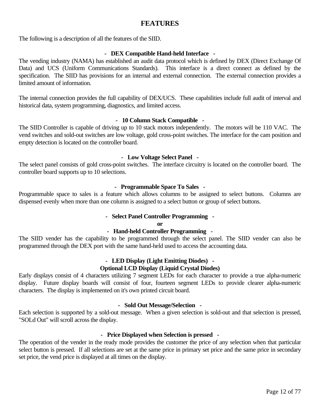### **FEATURES**

The following is a description of all the features of the SIID.

#### **- DEX Compatible Hand-held Interface -**

The vending industry (NAMA) has established an audit data protocol which is defined by DEX (Direct Exchange Of Data) and UCS (Uniform Communications Standards). This interface is a direct connect as defined by the specification. The SIID has provisions for an internal and external connection. The external connection provides a limited amount of information.

The internal connection provides the full capability of DEX/UCS. These capabilities include full audit of interval and historical data, system programming, diagnostics, and limited access.

#### **- 10 Column Stack Compatible -**

The SIID Controller is capable of driving up to 10 stack motors independently. The motors will be 110 VAC. The vend switches and sold-out switches are low voltage, gold cross-point switches. The interface for the cam position and empty detection is located on the controller board.

#### **- Low Voltage Select Panel -**

The select panel consists of gold cross-point switches. The interface circuitry is located on the controller board. The controller board supports up to 10 selections.

### **- Programmable Space To Sales -**

Programmable space to sales is a feature which allows columns to be assigned to select buttons. Columns are dispensed evenly when more than one column is assigned to a select button or group of select buttons.

#### **- Select Panel Controller Programming -**

#### **or**

#### **- Hand-held Controller Programming -**

The SIID vender has the capability to be programmed through the select panel. The SIID vender can also be programmed through the DEX port with the same hand-held used to access the accounting data.

### **- LED Display (Light Emitting Diodes) -**

### **Optional LCD Display (Liquid Crystal Diodes)**

Early displays consist of 4 characters utilizing 7 segment LEDs for each character to provide a true alpha-numeric display. Future display boards will consist of four, fourteen segment LEDs to provide clearer alpha-numeric characters. The display is implemented on it's own printed circuit board.

#### **- Sold Out Message/Selection -**

Each selection is supported by a sold-out message. When a given selection is sold-out and that selection is pressed, "SOLd Out" will scroll across the display.

#### **- Price Displayed when Selection is pressed -**

The operation of the vender in the ready mode provides the customer the price of any selection when that particular select button is pressed. If all selections are set at the same price in primary set price and the same price in secondary set price, the vend price is displayed at all times on the display.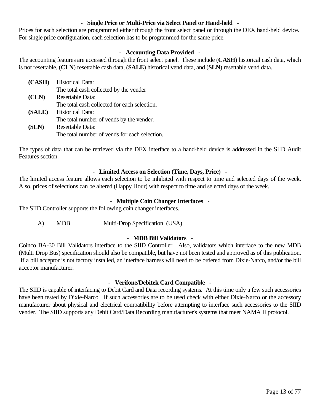### **- Single Price or Multi-Price via Select Panel or Hand-held -**

Prices for each selection are programmed either through the front select panel or through the DEX hand-held device. For single price configuration, each selection has to be programmed for the same price.

### **- Accounting Data Provided -**

The accounting features are accessed through the front select panel. These include (**CASH)** historical cash data, which is not resettable, (**CLN**) resettable cash data, (**SALE**) historical vend data, and (**SLN**) resettable vend data.

| (CASH) | <b>Historical Data:</b>                       |
|--------|-----------------------------------------------|
|        | The total cash collected by the vender        |
| (CLN)  | Resettable Data:                              |
|        | The total cash collected for each selection.  |
| (SALE) | Historical Data:                              |
|        | The total number of vends by the vender.      |
| (SLN)  | <b>Resettable Data:</b>                       |
|        | The total number of vends for each selection. |

The types of data that can be retrieved via the DEX interface to a hand-held device is addressed in the SIID Audit Features section.

### **- Limited Access on Selection (Time, Days, Price) -**

The limited access feature allows each selection to be inhibited with respect to time and selected days of the week. Also, prices of selections can be altered (Happy Hour) with respect to time and selected days of the week.

### **- Multiple Coin Changer Interfaces -**

The SIID Controller supports the following coin changer interfaces.

A) MDB Multi-Drop Specification (USA)

#### **- MDB Bill Validators -**

Coinco BA-30 Bill Validators interface to the SIID Controller. Also, validators which interface to the new MDB (Multi Drop Bus) specification should also be compatible, but have not been tested and approved as of this publication. If a bill acceptor is not factory installed, an interface harness will need to be ordered from Dixie-Narco, and/or the bill acceptor manufacturer.

#### **- Verifone/Debitek Card Compatible -**

The SIID is capable of interfacing to Debit Card and Data recording systems. At this time only a few such accessories have been tested by Dixie-Narco. If such accessories are to be used check with either Dixie-Narco or the accessory manufacturer about physical and electrical compatibility before attempting to interface such accessories to the SIID vender. The SIID supports any Debit Card/Data Recording manufacturer's systems that meet NAMA II protocol.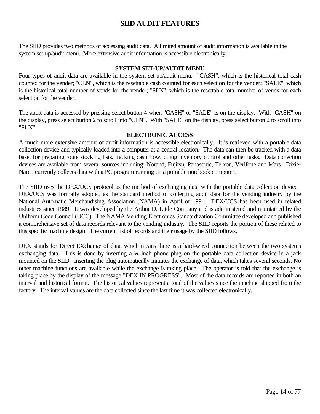### **SIID AUDIT FEATURES**

<span id="page-13-0"></span>The SIID provides two methods of accessing audit data. A limited amount of audit information is available in the system set-up/audit menu. More extensive audit information is accessible electronically.

#### **SYSTEM SET-UP/AUDIT MENU**

Four types of audit data are available in the system set-up/audit menu. "CASH", which is the historical total cash counted for the vender; "CLN", which is the resettable cash counted for each selection for the vender; "SALE", which is the historical total number of vends for the vender; "SLN", which is the resettable total number of vends for each selection for the vender.

The audit data is accessed by pressing select button 4 when "CASH" or "SALE" is on the display. With "CASH" on the display, press select button 2 to scroll into "CLN". With "SALE" on the display, press select button 2 to scroll into "SLN".

#### **ELECTRONIC ACCESS**

A much more extensive amount of audit information is accessible electronically. It is retrieved with a portable data collection device and typically loaded into a computer at a central location. The data can then be tracked with a data base, for preparing route stocking lists, tracking cash flow, doing inventory control and other tasks. Data collection devices are available from several sources including: Norand, Fujitsu, Panasonic, Telxon, Verifone and Mars. Dixie-Narco currently collects data with a PC program running on a portable notebook computer.

The SIID uses the DEX/UCS protocol as the method of exchanging data with the portable data collection device. DEX/UCS was formally adopted as the standard method of collecting audit data for the vending industry by the National Automatic Merchandising Association (NAMA) in April of 1991. DEX/UCS has been used in related industries since 1989. It was developed by the Arthur D. Little Company and is administered and maintained by the Uniform Code Council (UCC). The NAMA Vending Electronics Standardization Committee developed and published a comprehensive set of data records relevant to the vending industry. The SIID reports the portion of these related to this specific machine design. The current list of records and their usage by the SIID follows.

DEX stands for Direct EXchange of data, which means there is a hard-wired connection between the two systems exchanging data. This is done by inserting a  $\frac{1}{4}$  inch phone plug on the portable data collection device in a jack mounted on the SIID. Inserting the plug automatically initiates the exchange of data, which takes several seconds. No other machine functions are available while the exchange is taking place. The operator is told that the exchange is taking place by the display of the message "DEX IN PROGRESS". Most of the data records are reported in both an interval and historical format. The historical values represent a total of the values since the machine shipped from the factory. The interval values are the data collected since the last time it was collected electronically.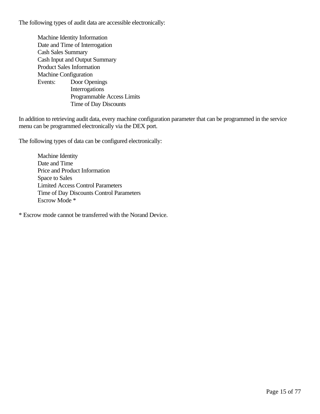The following types of audit data are accessible electronically:

Machine Identity Information Date and Time of Interrogation Cash Sales Summary Cash Input and Output Summary Product Sales Information Machine Configuration Events: Door Openings **Interrogations** Programmable Access Limits Time of Day Discounts

In addition to retrieving audit data, every machine configuration parameter that can be programmed in the service menu can be programmed electronically via the DEX port.

The following types of data can be configured electronically:

Machine Identity Date and Time Price and Product Information Space to Sales Limited Access Control Parameters Time of Day Discounts Control Parameters Escrow Mode \*

\* Escrow mode cannot be transferred with the Norand Device.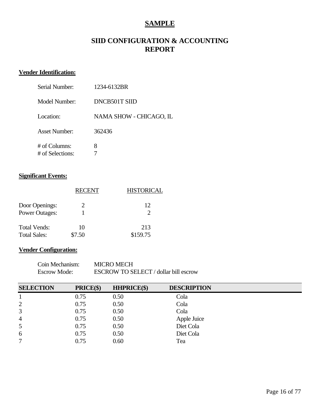### **SAMPLE**

### **SIID CONFIGURATION & ACCOUNTING REPORT**

### **Vender Identification:**

| Serial Number:                      | 1234-6132BR             |
|-------------------------------------|-------------------------|
| Model Number:                       | DNCB501T SIID           |
| Location:                           | NAMA SHOW - CHICAGO, IL |
| <b>Asset Number:</b>                | 362436                  |
| $#$ of Columns:<br># of Selections: | 8                       |

### **Significant Events:**

|                       | RECENT                | <b>HISTORICAL</b> |
|-----------------------|-----------------------|-------------------|
| Door Openings:        | $\mathcal{D}_{\cdot}$ | 12                |
| <b>Power Outages:</b> |                       | 2                 |
| <b>Total Vends:</b>   | 10                    | 213               |
| <b>Total Sales:</b>   | \$7.50                | \$159.75          |

### **Vender Configuration:**

| Coin Mechanism:     | <b>MICRO MECH</b>                     |
|---------------------|---------------------------------------|
| <b>Escrow Mode:</b> | ESCROW TO SELECT / dollar bill escrow |

| <b>SELECTION</b> | PRICE(\$) | <b>HHPRICE(\$)</b> | <b>DESCRIPTION</b> |  |
|------------------|-----------|--------------------|--------------------|--|
|                  | 0.75      | 0.50               | Cola               |  |
| $\overline{2}$   | 0.75      | 0.50               | Cola               |  |
| 3                | 0.75      | 0.50               | Cola               |  |
| $\overline{4}$   | 0.75      | 0.50               | Apple Juice        |  |
| 5                | 0.75      | 0.50               | Diet Cola          |  |
| 6                | 0.75      | 0.50               | Diet Cola          |  |
| 7                | 0.75      | 0.60               | Tea                |  |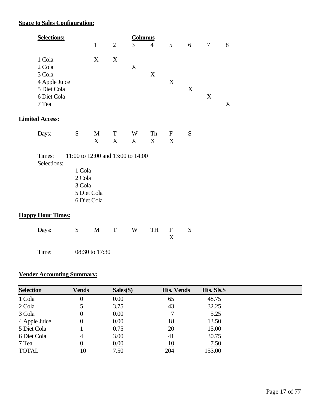### **Space to Sales Configuration:**

| <b>Selections:</b> |              |   | Columns |                |                |   |                |   |
|--------------------|--------------|---|---------|----------------|----------------|---|----------------|---|
|                    | $\mathbf{1}$ | 2 | 3       | $\overline{4}$ | 5 <sup>5</sup> | 6 | $\overline{7}$ | 8 |
| 1 Cola<br>2 Cola   | X            | X | X       |                |                |   |                |   |
| 3 Cola             |              |   |         | X              |                |   |                |   |
| 4 Apple Juice      |              |   |         |                | X              |   |                |   |
| 5 Diet Cola        |              |   |         |                |                | X |                |   |
| 6 Diet Cola        |              |   |         |                |                |   | X              |   |
| 7 Tea              |              |   |         |                |                |   |                | Χ |
|                    |              |   |         |                |                |   |                |   |

### **Limited Access:**

| Days: | $S$ M | T W Th F S                  |  |  |
|-------|-------|-----------------------------|--|--|
|       |       | $X \quad X \quad X \quad X$ |  |  |

Times: 11:00 to 12:00 and 13:00 to 14:00 Selections:

1 Cola 2 Cola 3 Cola 5 Diet Cola 6 Diet Cola

### **Happy Hour Times:**

| Days: S M T W TH F S |  |  |  |  |
|----------------------|--|--|--|--|
|                      |  |  |  |  |
|                      |  |  |  |  |

Time: 08:30 to 17:30

### **Vender Accounting Summary:**

| <b>Selection</b> | <b>Vends</b>     | $Sales(\$)$ | <b>His. Vends</b> | His. Sls.\$ |  |
|------------------|------------------|-------------|-------------------|-------------|--|
| 1 Cola           | $\boldsymbol{0}$ | 0.00        | 65                | 48.75       |  |
| 2 Cola           |                  | 3.75        | 43                | 32.25       |  |
| 3 Cola           | $\overline{0}$   | 0.00        | 7                 | 5.25        |  |
| 4 Apple Juice    | $\boldsymbol{0}$ | 0.00        | 18                | 13.50       |  |
| 5 Diet Cola      |                  | 0.75        | 20                | 15.00       |  |
| 6 Diet Cola      | 4                | 3.00        | 41                | 30.75       |  |
| 7 Tea            | $\overline{0}$   | 0.00        | <u>10</u>         | <u>7.50</u> |  |
| <b>TOTAL</b>     | 10               | 7.50        | 204               | 153.00      |  |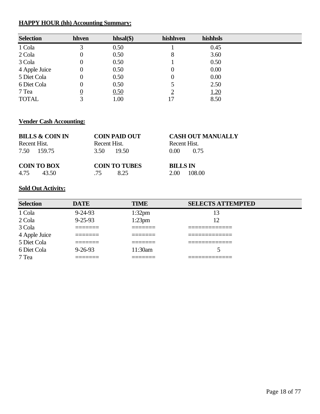### **HAPPY HOUR (hh) Accounting Summary:**

| <b>Selection</b> | hhven            | $hhsal(\$)$ | hishhven | hishhsls |
|------------------|------------------|-------------|----------|----------|
| 1 Cola           | 3                | 0.50        |          | 0.45     |
| 2 Cola           | $\boldsymbol{0}$ | 0.50        | 8        | 3.60     |
| 3 Cola           | 0                | 0.50        |          | 0.50     |
| 4 Apple Juice    | 0                | 0.50        | 0        | 0.00     |
| 5 Diet Cola      | 0                | 0.50        | 0        | 0.00     |
| 6 Diet Cola      | 0                | 0.50        |          | 2.50     |
| 7 Tea            | $\overline{0}$   | 0.50        | റ        | 1.20     |
| <b>TOTAL</b>     | 3                | 1.00        | 17       | 8.50     |

### **Vender Cash Accounting:**

| <b>BILLS &amp; COIN IN</b><br>Recent Hist.<br>7.50 159.75 | <b>COIN PAID OUT</b><br>Recent Hist.<br>3.50 19.50 | <b>CASH OUT MANUALLY</b><br>Recent Hist.<br>$0.00 -$<br>0.75 |
|-----------------------------------------------------------|----------------------------------------------------|--------------------------------------------------------------|
| <b>COIN TO BOX</b>                                        | <b>COIN TO TUBES</b>                               | <b>BILLS IN</b>                                              |
| 4.75                                                      | 8.25                                               | 108.00                                                       |
| 43.50                                                     | 75                                                 | 2.00                                                         |

## **Sold Out Activity:**

| <b>Selection</b> | <b>DATE</b>         | <b>TIME</b>         | <b>SELECTS ATTEMPTED</b>         |
|------------------|---------------------|---------------------|----------------------------------|
| 1 Cola           | $9 - 24 - 93$       | $1:32$ pm           | 13                               |
| 2 Cola           | $9 - 25 - 93$       | $1:23$ pm           | 12                               |
| 3 Cola           |                     | ________            | __________                       |
| 4 Apple Juice    | _______<br>________ | _______<br>________ | _____________<br>_______________ |
| 5 Diet Cola      |                     |                     | ___________                      |
| 6 Diet Cola      | $9 - 26 - 93$       | 11:30am             |                                  |
| 7 Tea            |                     | _______             | _____________<br>_________       |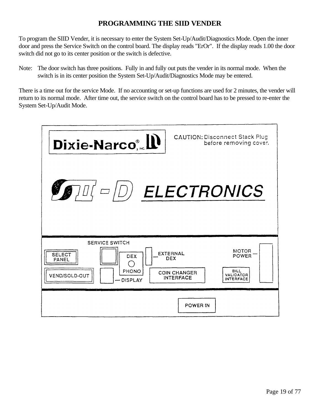### **PROGRAMMING THE SIID VENDER**

<span id="page-18-0"></span>To program the SIID Vender, it is necessary to enter the System Set-Up/Audit/Diagnostics Mode. Open the inner door and press the Service Switch on the control board. The display reads "ErOr". If the display reads 1.00 the door switch did not go to its center position or the switch is defective.

Note: The door switch has three positions. Fully in and fully out puts the vender in its normal mode. When the switch is in its center position the System Set-Up/Audit/Diagnostics Mode may be entered.

There is a time out for the service Mode. If no accounting or set-up functions are used for 2 minutes, the vender will return to its normal mode. After time out, the service switch on the control board has to be pressed to re-enter the System Set-Up/Audit Mode.

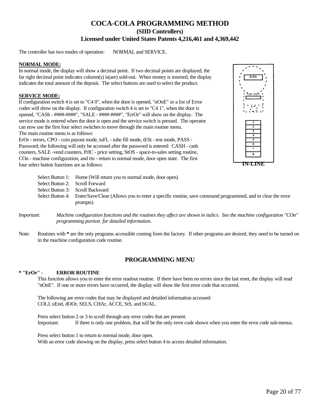### **COCA-COLA PROGRAMMING METHOD (SIID Controllers) Licensed under United States Patents 4,216,461 and 4,369,442**

The controller has two modes of operation: NORMAL and SERVICE.

#### **NORMAL MODE:**

In normal mode, the display will show a decimal point. If two decimal points are displayed, the far right decimal point indicates column(s) is(are) sold-out. When money is inserted, the display indicates the total amount of the deposit. The select buttons are used to select the product.

#### **SERVICE MODE:**

If configuration switch 4 is set to "C4 0", when the door is opened, "nOnE" or a list of Error codes will show on the display. If configuration switch 4 is set to "C4 1", when the door is opened, "CASh - ####-####", "SALE - ####-####", "ErrOr" will show on the display. The service mode is entered when the door is open and the service switch is pressed. The operator can now use the first four select switches to move through the main routine menu. The main routine menu is as follows:

ErOr - errors, CPO - coin payout mode, tuFL - tube fill mode, tESt - test mode, PASS - Password; the following will only be accessed after the password is entered: CASH - cash counters, SALE -vend counters, PrIC - price setting, StOS - space-to-sales setting routine, COn - machine configuration, and rtn - return to normal mode, door open state. The first four select button functions are as follows:





|                                 | Select Button 1: Home (Will return you to normal mode, door open)                                                                      |
|---------------------------------|----------------------------------------------------------------------------------------------------------------------------------------|
| Select Button 2: Scroll Forward |                                                                                                                                        |
|                                 | Select Button 3: Scroll Backward                                                                                                       |
|                                 | Select Button 4: Enter/Save/Clear (Allows you to enter a specific routine, save command programmed, and to clear the error<br>prompts) |
|                                 |                                                                                                                                        |

- *Important: Machine configuration functions and the routines they affect are shown in italics. See the machine configuration "COn" programming portion for detailed information.*
- Note: Routines with \* are the only programs accessible coming from the factory. If other programs are desired, they need to be turned on in the machine configuration code routine.

#### **PROGRAMMING MENU**

#### **\* "ErOr" - ERROR ROUTINE**

This function allows you to enter the error readout routine. If there have been no errors since the last reset, the display will read "nOnE". If one or more errors have occurred, the display will show the first error code that occurred.

The following are error codes that may be displayed and detailed information accessed: COLJ, uEnd, dOOr, SELS, CHAr, ACCE, StS, and bUAL.

Press select button 2 or 3 to scroll through any error codes that are present. Important: If there is only one problem, that will be the only error code shown when you enter the error code sub-menus.

Press select button 1 to return to normal mode, door open. With an error code showing on the display, press select button 4 to access detailed information.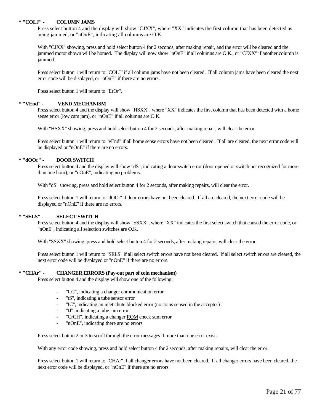#### **\* "COLJ" - COLUMN JAMS**

Press select button 4 and the display will show "CJXX", where "XX" indicates the first column that has been detected as being jammed, or "nOnE", indicating all columns are O.K.

With "CJXX" showing, press and hold select button 4 for 2 seconds, after making repair, and the error will be cleared and the jammed motor shown will be homed. The display will now show "nOnE" if all columns are O.K., or "CJXX" if another column is jammed.

Press select button 1 will return to "COLJ" if all column jams have not been cleared. If all column jams have been cleared the next error code will be displayed, or "nOnE" if there are no errors.

Press select button 1 will return to "ErOr".

#### **\* "VEnd" - VEND MECHANISM**

Press select button 4 and the display will show "HSXX", where "XX" indicates the first column that has been detected with a home sense error (low cam jam), or "nOnE" if all columns are O.K.

With "HSXX" showing, press and hold select button 4 for 2 seconds, after making repair, will clear the error.

Press select button 1 will return to "vEnd" if all home sense errors have not been cleared. If all are cleared, the next error code will be displayed or "nOnE" if there are no errors.

#### **\* "dOOr" - DOOR SWITCH**

Press select button 4 and the display will show "dS", indicating a door switch error (door opened or switch not recognized for more than one hour), or "nOnE", indicating no problems.

With "dS" showing, press and hold select button 4 for 2 seconds, after making repairs, will clear the error.

Press select button 1 will return to "dOOr" if door errors have not been cleared. If all are cleared, the next error code will be displayed or "nOnE" if there are no errors.

#### **\* "SELS" - SELECT SWITCH**

Press select button 4 and the display will show "SSXX", where "XX" indicates the first select switch that caused the error code, or "nOnE", indicating all selection switches are O.K.

With "SSXX" showing, press and hold select button 4 for 2 seconds, after making repairs, will clear the error.

Press select button 1 will return to "SELS" if all select switch errors have not been cleared. If all select switch errors are cleared, the next error code will be displayed or "nOnE" if there are no errors.

#### **\* "CHAr" - CHANGER ERRORS (Pay-out part of coin mechanism)**

Press select button 4 and the display will show one of the following:

- "CC", indicating a changer communication error
- "tS", indicating a tube sensor error
- "IC", indicating an inlet chute blocked error (no coins sensed in the acceptor)
- "tJ", indicating a tube jam error
- "CrCH", indicating a changer ROM check sum error
- "nOnE", indicating there are no errors

Press select button 2 or 3 to scroll through the error messages if more than one error exists.

With any error code showing, press and hold select button 4 for 2 seconds, after making repairs, will clear the error.

Press select button 1 will return to "CHAr" if all changer errors have not been cleared. If all changer errors have been cleared, the next error code will be displayed, or "nOnE" if there are no errors.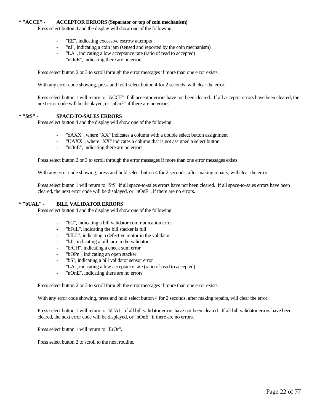#### **\* "ACCE" - ACCEPTOR ERRORS (Separator or top of coin mechanism)**

Press select button 4 and the display will show one of the following:

- "EE", indicating excessive escrow attempts
- "nJ", indicating a coin jam (sensed and reported by the coin mechanism)
- "LA", indicating a low acceptance rate (ratio of read to accepted)
- "nOnE", indicating there are no errors

Press select button 2 or 3 to scroll through the error messages if more than one error exists.

With any error code showing, press and hold select button 4 for 2 seconds, will clear the error.

Press select button 1 will return to "ACCE" if all acceptor errors have not been cleared. If all acceptor errors have been cleared, the next error code will be displayed, or "nOnE" if there are no errors.

#### **\* "StS" - SPACE-TO-SALES ERRORS**

Press select button 4 and the display will show one of the following:

- "dAXX", where "XX" indicates a column with a double select button assignment
- "UAXX", where "XX" indicates a column that is not assigned a select button
- "nOnE", indicating there are no errors.

Press select button 2 or 3 to scroll through the error messages if more than one error messages exists.

With any error code showing, press and hold select button 4 for 2 seconds, after making repairs, will clear the error.

Press select button 1 will return to "StS" if all space-to-sales errors have not been cleared. If all space-to-sales errors have been cleared, the next error code will be displayed, or "nOnE", if there are no errors.

#### **\* "bUAL" - BILL VALIDATOR ERRORS**

Press select button 4 and the display will show one of the following:

- "bC", indicating a bill validator communication error
- "bFuL", indicating the bill stacker is full
- "bILL", indicating a defective motor in the validator
- "bJ", indicating a bill jam in the validator
- "brCH", indicating a check sum error
- "bOPn", indicating an open stacker
- "bS", indicating a bill validator sensor error
- "LA", indicating a low acceptance rate (ratio of read to accepted)
- "nOnE", indicating there are no errors

Press select button 2 or 3 to scroll through the error messages if more than one error exists.

With any error code showing, press and hold select button 4 for 2 seconds, after making repairs, will clear the error.

Press select button 1 will return to "bUAL" if all bill validator errors have not been cleared. If all bill validator errors have been cleared, the next error code will be displayed, or "nOnE" if there are no errors.

Press select button 1 will return to "ErOr".

Press select button 2 to scroll to the next routine.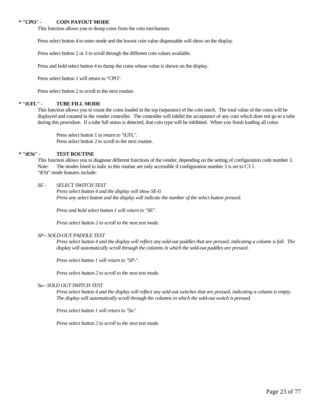#### **\* "CPO" - COIN PAYOUT MODE**

This function allows you to dump coins from the coin mechanism.

Press select button 4 to enter mode and the lowest coin value dispensable will show on the display.

Press select button 2 or 3 to scroll through the different coin values available.

Press and hold select button 4 to dump the coins whose value is shown on the display.

Press select button 1 will return to "CPO".

Press select button 2 to scroll to the next routine.

#### **\* "tUFL" - TUBE FILL MODE**

This function allows you to count the coins loaded in the top (separator) of the coin mech. The total value of the coins will be displayed and counted in the vender controller. The controller will inhibit the acceptance of any coin which does not go to a tube during this procedure. If a tube full status is detected, that coin type will be inhibited. When you finish loading all coins:

Press select button 1 to return to "tUFL". Press select button 2 to scroll to the next routine.

#### **\* "tESt" - TEST ROUTINE**

This function allows you to diagnose different functions of the vender, depending on the setting of configuration code number 3. Note: The modes listed in italic in this routine are only accessible if configuration number 3 is set to C3 1. "tESt" mode features include:

#### *SE - SELECT SWITCH TEST*

*Press select button 4 and the display will show SE-0. Press any select button and the display will indicate the number of the select button pressed.*

*Press and hold select button 1 will return to "SE".*

*Press select button 2 to scroll to the next test mode.*

#### *SP-- SOLD-OUT PADDLE TEST*

*Press select button 4 and the display will reflect any sold-out paddles that are pressed, indicating a column is full. The display will automatically scroll through the columns in which the sold-out paddles are pressed.*

*Press select button 1 will return to "SP-".*

*Press select button 2 to scroll to the next test mode.*

#### *Su-- SOLD OUT SWITCH TEST*

*Press select button 4 and the display will reflect any sold-out switches that are pressed, indicating a column is empty. The display will automatically scroll through the columns in which the sold-out switch is pressed.*

*Press select button 1 will return to "Su".*

*Press select button 2 to scroll to the next test mode.*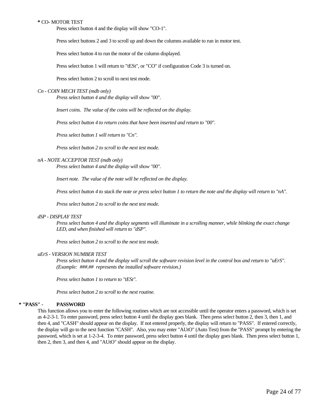#### **\*** CO- MOTOR TEST

Press select button 4 and the display will show "CO-1".

Press select buttons 2 and 3 to scroll up and down the columns available to run in motor test.

Press select button 4 to run the motor of the column displayed.

Press select button 1 will return to "tESt", or "CO" if configuration Code 3 is turned on.

Press select button 2 to scroll to next test mode.

#### *Cn - COIN MECH TEST (mdb only)*

*Press select button 4 and the display will show "00".*

*Insert coins. The value of the coins will be reflected on the display.*

*Press select button 4 to return coins that have been inserted and return to "00".*

*Press select button 1 will return to "Cn".*

*Press select button 2 to scroll to the next test mode.*

#### *nA - NOTE ACCEPTOR TEST (mdb only)*

*Press select button 4 and the display will show "00".*

*Insert note. The value of the note will be reflected on the display.*

*Press select button 4 to stack the note or press select button 1 to return the note and the display will return to "nA".*

*Press select button 2 to scroll to the next test mode.*

#### *dSP - DISPLAY TEST*

*Press select button 4 and the display segments will illuminate in a scrolling manner, while blinking the exact change LED, and when finished will return to "dSP".*

*Press select button 2 to scroll to the next test mode.*

#### *uErS - VERSION NUMBER TEST*

*Press select button 4 and the display will scroll the software revision level in the control box and return to "uErS". (Example: ###.## represents the installed software revision.)* 

*Press select button 1 to return to "tESt".*

*Press select button 2 to scroll to the next routine.*

#### **\* "PASS" - PASSWORD**

This function allows you to enter the following routines which are not accessible until the operator enters a password, which is set as 4-2-3-1. To enter password, press select button 4 until the display goes blank. Then press select button 2, then 3, then 1, and then 4, and "CASH" should appear on the display. If not entered properly, the display will return to "PASS". If entered correctly, the display will go to the next function "CASH". Also, you may enter "AUtO" (Auto Test) from the "PASS" prompt by entering the password, which is set at 1-2-3-4. To enter password, press select button 4 until the display goes blank. Then press select button 1, then 2, then 3, and then 4, and "AUtO" should appear on the display.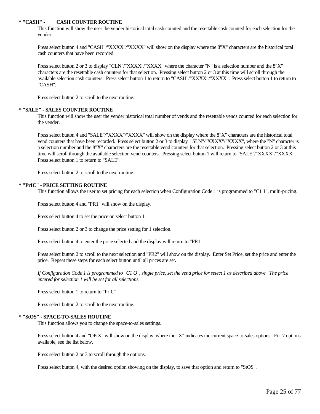#### **\* "CASH" - CASH COUNTER ROUTINE**

This function will show the user the vender historical total cash counted and the resettable cash counted for each selection for the vender.

Press select button 4 and "CASH"/"XXXX"/"XXXX" will show on the display where the 8"X" characters are the historical total cash counters that have been recorded.

Press select button 2 or 3 to display "CLN"/"XXXX"/"XXXX" where the character "N" is a selection number and the 8"X" characters are the resettable cash counters for that selection. Pressing select button 2 or 3 at this time will scroll through the available selection cash counters. Press select button 1 to return to "CASH"/"XXXX"/"XXXX". Press select button 1 to return to "CASH".

Press select button 2 to scroll to the next routine.

#### **\* "SALE" - SALES COUNTER ROUTINE**

This function will show the user the vender historical total number of vends and the resettable vends counted for each selection for the vender.

Press select button 4 and "SALE"/"XXXX"/"XXXX" will show on the display where the 8"X" characters are the historical total vend counters that have been recorded. Press select button 2 or 3 to display "SLN"/"XXXX"/"XXXX", where the "N" character is a selection number and the 8"X" characters are the resettable vend counters for that selection. Pressing select button 2 or 3 at this time will scroll through the available selection vend counters. Pressing select button 1 will return to "SALE"/"XXXX"/"XXXX". Press select button 1 to return to "SALE".

Press select button 2 to scroll to the next routine.

#### **\* "PrIC" - PRICE SETTING ROUTINE**

This function allows the user to set pricing for each selection when Configuration Code 1 is programmed to "C1 1", multi-pricing.

Press select button 4 and "PR1" will show on the display.

Press select button 4 to set the price on select button 1.

Press select button 2 or 3 to change the price setting for 1 selection.

Press select button 4 to enter the price selected and the display will return to "PR1".

Press select button 2 to scroll to the next selection and "PR2" will show on the display. Enter Set Price, set the price and enter the price. Repeat these steps for each select button until all prices are set.

*If Configuration Code 1 is programmed to "C1 O", single price, set the vend price for select 1 as described above. The price entered for selection 1 will be set for all selections.* 

Press select button 1 to return to "PrIC".

Press select button 2 to scroll to the next routine.

#### **\* "StOS" - SPACE-TO-SALES ROUTINE**

This function allows you to change the space-to-sales settings.

Press select button 4 and "OPtX" will show on the display, where the "X" indicates the current space-to-sales options. For 7 options available, see the list below.

Press select button 2 or 3 to scroll through the options.

Press select button 4, with the desired option showing on the display, to save that option and return to "StOS".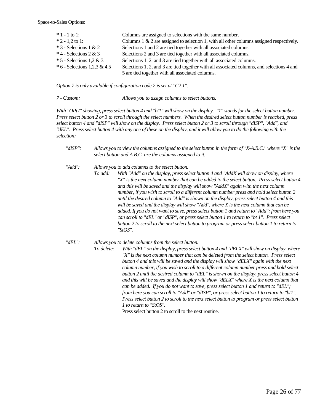Space-to-Sales Options:

| $*1 - 1$ to 1:                | Columns are assigned to selections with the same number.                                                                                       |
|-------------------------------|------------------------------------------------------------------------------------------------------------------------------------------------|
| $*2 - 1.2$ to 1:              | Columns $1 \& 2$ are assigned to selection 1, with all other columns assigned respectively.                                                    |
| $*$ 3 - Selections 1 & 2      | Selections 1 and 2 are tied together with all associated columns.                                                                              |
| $*$ 4 - Selections 2 & 3      | Selections 2 and 3 are tied together with all associated columns.                                                                              |
| $*$ 5 - Selections 1,2 & 3    | Selections 1, 2, and 3 are tied together with all associated columns.                                                                          |
| $*6$ - Selections 1,2,3 & 4,5 | Selections 1, 2, and 3 are tied together with all associated columns, and selections 4 and<br>5 are tied together with all associated columns. |
|                               |                                                                                                                                                |

*Option 7 is only available if configuration code 2 is set at "C2 1".*

*7 - Custom: Allows you to assign columns to select buttons.*

*With "OPt7" showing, press select button 4 and "bt1" will show on the display. "1" stands for the select button number. Press select button 2 or 3 to scroll through the select numbers. When the desired select button number is reached, press select button 4 and "dISP" will show on the display. Press select button 2 or 3 to scroll through "dISP", "Add", and "dEL". Press select button 4 with any one of these on the display, and it will allow you to do the following with the selection:*

| "dISP": | Allows you to view the columns assigned to the select button in the form of "X-A.B.C." where "X" is the |
|---------|---------------------------------------------------------------------------------------------------------|
|         | select button and A.B.C. are the columns assigned to it.                                                |

*"Add": Allows you to add columns to the select button.*

*To add: With "Add" on the display, press select button 4 and "AddX will show on display, where "X" is the next column number that can be added to the select button. Press select button 4 and this will be saved and the display will show "AddX" again with the next column number, if you wish to scroll to a different column number press and hold select button 2 until the desired column to "Add" is shown on the display, press select button 4 and this will be saved and the display will show "Add", where X is the next column that can be added. If you do not want to save, press select button 1 and return to "Add"; from here you can scroll to "dEL" or "dISP", or press select button 1 to return to "bt 1". Press select button 2 to scroll to the next select button to program or press select button 1 to return to "StOS".*

#### *"dEL": Allows you to delete columns from the select button.*

*To delete: With "dEL" on the display, press select button 4 and "dELX" will show on display, where "X" is the next column number that can be deleted from the select button. Press select button 4 and this will be saved and the display will show "dELX" again with the next column number, if you wish to scroll to a different column number press and hold select button 2 until the desired column to "dEL" is shown on the display, press select button 4 and this will be saved and the display will show "dELX" where X is the next column that can be added. If you do not want to save, press select button 1 and return to "dEL"; from here you can scroll to "Add" or "dISP", or press select button 1 to return to "bt1". Press select button 2 to scroll to the next select button to program or press select button 1 to return to "StOS".*

Press select button 2 to scroll to the next routine.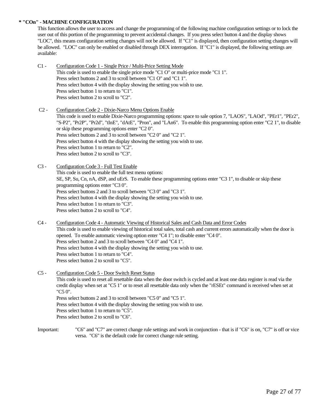#### **\* "COn" - MACHINE CONFIGURATION**

This function allows the user to access and change the programming of the following machine configuration settings or to lock the user out of this portion of the programming to prevent accidental changes. If you press select button 4 and the display shows "LOC", this means configuration setting changes will not be allowed. If "C1" is displayed, then configuration setting changes will be allowed. "LOC" can only be enabled or disabled through DEX interrogation. If "C1" is displayed, the following settings are available:

- C1 Configuration Code 1 Single Price / Multi-Price Setting Mode This code is used to enable the single price mode "C1 O" or multi-price mode "C1 1". Press select buttons 2 and 3 to scroll between "C1 O" and "C1 1". Press select button 4 with the display showing the setting you wish to use. Press select button 1 to return to "C1". Press select button 2 to scroll to "C2".
- C2 Configuration Code 2 Dixie-Narco Menu Options Enable This code is used to enable Dixie-Narco programming options: space to sale option 7, "LAOS", "LAOd", "PEr1", "PEr2", "S-P2", "Pr2P", "Pr2d", "tInE", "dAtE", "Pron", and "LAn6". To enable this programming option enter "C2 1", to disable or skip these programming options enter "C2 0". Press select buttons 2 and 3 to scroll between "C2 0" and "C2 1". Press select button 4 with the display showing the setting you wish to use. Press select button 1 to return to "C2". Press select button 2 to scroll to "C3".
- C3 Configuration Code 3 Full Test Enable This code is used to enable the full test menu options: SE, SP, Su, Cn, nA, dSP, and uErS. To enable these programming options enter "C3 1", to disable or skip these programming options enter "C3 0". Press select buttons 2 and 3 to scroll between "C3 0" and "C3 1". Press select button 4 with the display showing the setting you wish to use. Press select button 1 to return to "C3". Press select button 2 to scroll to "C4".
- C4 Configuration Code 4 Automatic Viewing of Historical Sales and Cash Data and Error Codes This code is used to enable viewing of historical total sales, total cash and current errors automatically when the door is opened. To enable automatic viewing option enter "C4 1"; to disable enter "C4 0". Press select button 2 and 3 to scroll between "C4 0" and "C4 1". Press select button 4 with the display showing the setting you wish to use. Press select button 1 to return to "C4". Press select button 2 to scroll to "C5".
- C5 Configuration Code 5 Door Switch Reset Status This code is used to reset all resettable data when the door switch is cycled and at least one data register is read via the credit display when set at "C5 1" or to reset all resettable data only when the "rESEt" command is received when set at "C5 0". Press select buttons 2 and 3 to scroll between "C5 0" and "C5 1". Press select button 4 with the display showing the setting you wish to use. Press select button 1 to return to "C5". Press select button 2 to scroll to "C6".
- Important: "C6" and "C7" are correct change rule settings and work in conjunction that is if "C6" is on, "C7" is off or vice versa. "C6" is the default code for correct change rule setting.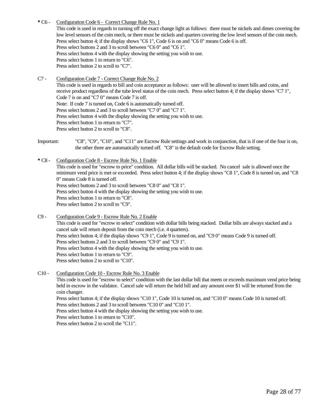- **\*** C6 Configuration Code 6 Correct Change Rule No. 1 This code is used in regards to turning off the exact change light as follows: there must be nickels and dimes covering the low level sensors of the coin mech, or there must be nickels and quarters covering the low level sensors of the coin mech. Press select button 4; if the display shows "C6 1", Code 6 is on and "C6 0" means Code 6 is off. Press select buttons 2 and 3 to scroll between "C6 0" and "C6 1". Press select button 4 with the display showing the setting you wish to use. Press select button 1 to return to "C6". Press select button 2 to scroll to "C7".
- C7 Configuration Code 7 Correct Change Rule No. 2

This code is used in regards to bill and coin acceptance as follows: user will be allowed to insert bills and coins, and receive product regardless of the tube level status of the coin mech. Press select button 4; if the display shows "C7 1", Code 7 is on and "C7 0" means Code 7 is off. Note: If code 7 is turned on, Code 6 is automatically turned off. Press select buttons 2 and 3 to scroll between "C7 0" and "C7 1". Press select button 4 with the display showing the setting you wish to use. Press select button 1 to return to "C7". Press select button 2 to scroll to "C8".

- Important: "C8", "C9", "C10", and "C11" are Escrow Rule settings and work in conjunction, that is if one of the four is on, the other three are automatically turned off. "C8" is the default code for Escrow Rule setting.
- **\*** C8 Configuration Code 8 Escrow Rule No. 1 Enable This code is used for "escrow to price" condition. All dollar bills will be stacked. No cancel sale is allowed once the minimum vend price is met or exceeded. Press select button 4; if the display shows "C8 1", Code 8 is turned on, and "C8 0" means Code 8 is turned off. Press select buttons 2 and 3 to scroll between "C8 0" and "C8 1". Press select button 4 with the display showing the setting you wish to use. Press select button 1 to return to "C8". Press select button 2 to scroll to "C9".

C9 - Configuration Code 9 - Escrow Rule No. 2 Enable This code is used for "escrow to select" condition with dollar bills being stacked. Dollar bills are always stacked and a cancel sale will return deposit from the coin mech (i.e. 4 quarters). Press select button 4; if the display shows "C9 1", Code 9 is turned on, and "C9 0" means Code 9 is turned off. Press select buttons 2 and 3 to scroll between "C9 0" and "C9 1". Press select button 4 with the display showing the setting you wish to use. Press select button 1 to return to "C9". Press select button 2 to scroll to "C10".

C10 - Configuration Code 10 - Escrow Rule No. 3 Enable This code is used for "escrow to select" condition with the last dollar bill that meets or exceeds maximum vend price being held in escrow in the validator. Cancel sale will return the held bill and any amount over \$1 will be returned from the coin changer. Press select button 4; if the display shows "C10 1", Code 10 is turned on, and "C10 0" means Code 10 is turned off. Press select buttons 2 and 3 to scroll between "C10 0" and "C10 1". Press select button 4 with the display showing the setting you wish to use. Press select button 1 to return to "C10". Press select button 2 to scroll the "C11".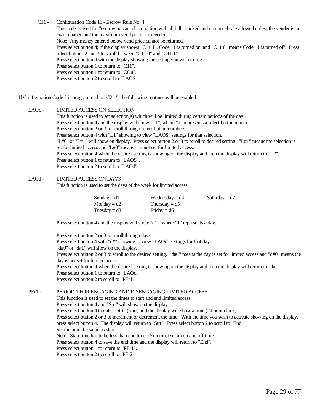#### C11 - Configuration Code 11 - Escrow Rule No. 4

This code is used for "escrow no cancel" condition with all bills stacked and no cancel sale allowed unless the vender is in exact change and the maximum vend price is exceeded. Note: Any money entered below vend price cannot be returned. Press select button 4; if the display shows "C11 1", Code 11 is turned on, and "C11 0" means Code 11 is turned off. Press select buttons 2 and 3 to scroll between "C11 0" and "C11 1". Press select button 4 with the display showing the setting you wish to use. Press select button 1 to return to "C11". Press select button 1 to return to "COn". Press select button 2 to scroll to "LAOS".

If Configuration Code 2 is programmed to "C2 1", the following routines will be enabled:

#### LAOS - LIMITED ACCESS ON SELECTION

This function is used to set selection(s) which will be limited during certain periods of the day. Press select button 4 and the display will show "L1", where "1" represents a select button number. Press select button 2 or 3 to scroll through select button numbers. Press select button 4 with "L1" showing to view "LAOS" settings for that selection. "L#0" or "L#1" will show on display. Press select button 2 or 3 to scroll to desired setting. "L#1" means the selection is set for limited access and "L#0" means it is not set for limited access. Press select button 4 when the desired setting is showing on the display and then the display will return to "L#". Press select button 1 to return to "LAOS". Press select button 2 to scroll to "LAOd".

#### LAOd - LIMITED ACCESS ON DAYS

This function is used to set the days of the week for limited access.

| Sunday = $d1$  | Wednesday $= d4$ | Saturday = $d7$ |
|----------------|------------------|-----------------|
| $Monday = d2$  | Thursday = $d5$  |                 |
| Tuesday = $d3$ | Friday = $d6$    |                 |

Press select button 4 and the display will show "d1", where "1" represents a day.

Press select button 2 or 3 to scroll through days. Press select button 4 with "d#" showing to view "LAOd" settings for that day. "d#0" or "d#1" will show on the display. Press select button 2 or 3 to scroll to the desired setting. "d#1" means the day is set for limited access and "d#0" means the day is not set for limited access. Press select button 4 when the desired setting is showing on the display and then the display will return to "d#". Press select button 1 to return to "LAOd". Press select button 2 to scroll to "PEr1".

PEr1 - PERIOD 1 FOR ENGAGING AND DISENGAGING LIMITED ACCESS This function is used to set the times to start and end limited access. Press select button 4 and "Strt" will show on the display. Press select button 4 to enter "Strt" (start) and the display will show a time (24 hour clock). Press select button 2 or 3 to increment or decrement the time. With the time you wish to activate showing on the display, press select button 4. The display will return to "Strt". Press select button 2 to scroll to "End". Set the time the same as start. Note: Start time has to be less than end time. You must set an on and off time. Press select button 4 to save the end time and the display will return to "End".

Press select button 1 to return to "PEr1".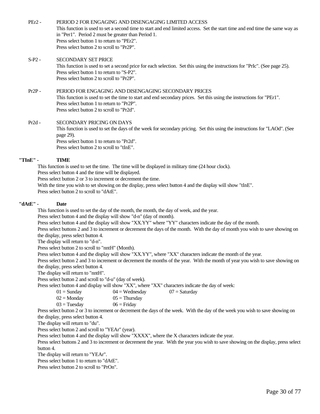PEr2 - PERIOD 2 FOR ENGAGING AND DISENGAGING LIMITED ACCESS This function is used to set a second time to start and end limited access. Set the start time and end time the same way as in "Per1". Period 2 must be greater than Period 1. Press select button 1 to return to "PEr2". Press select button 2 to scroll to "Pr2P".

S-P2 - SECONDARY SET PRICE This function is used to set a second price for each selection. Set this using the instructions for "PrIc". (See page 25). Press select button 1 to return to "S-P2". Press select button 2 to scroll to "Pr2P".

#### Pr2P - PERIOD FOR ENGAGING AND DISENGAGING SECONDARY PRICES

This function is used to set the time to start and end secondary prices. Set this using the instructions for "PEr1". Press select button 1 to return to "Pr2P". Press select button 2 to scroll to "Pr2d".

Pr2d - SECONDARY PRICING ON DAYS

This function is used to set the days of the week for secondary pricing. Set this using the instructions for "LAOd". (See page 29). Press select button 1 to return to "Pr2d".

Press select button 2 to scroll to "tInE".

#### **"TInE" - TIME**

This function is used to set the time. The time will be displayed in military time (24 hour clock). Press select button 4 and the time will be displayed. Press select button 2 or 3 to increment or decrement the time.

With the time you wish to set showing on the display, press select button 4 and the display will show "tInE".

Press select button 2 to scroll to "dAtE".

#### **"dAtE" - Date**

This function is used to set the day of the month, the month, the day of week, and the year.

Press select button 4 and the display will show "d-n" (day of month).

Press select button 4 and the display will show "XX.YY" where "YY" characters indicate the day of the month.

Press select buttons 2 and 3 to increment or decrement the days of the month. With the day of month you wish to save showing on the display, press select button 4.

The display will return to "d-n".

Press select button 2 to scroll to "nntH" (Month).

Press select button 4 and the display will show "XX.YY", where "XX" characters indicate the month of the year.

Press select button 2 and 3 to increment or decrement the months of the year. With the month of year you wish to save showing on the display, press select button 4.

The display will return to "nntH".

Press select button 2 and scroll to "d-u" (day of week).

Press select button 4 and display will show "XX", where "XX" characters indicate the day of week:

| $01 =$ Sunday | $04 =$ Wednesday | $07 =$ Saturday |
|---------------|------------------|-----------------|
|---------------|------------------|-----------------|

| $02 =$ Monday |
|---------------|
|---------------|

 $05 =$ Thursday  $03 =$ Tuesday  $06 =$ Friday

Press select button 2 or 3 to increment or decrement the days of the week. With the day of the week you wish to save showing on the display, press select button 4.

The display will return to "du".

Press select button 2 and scroll to "YEAr" (year).

Press select button 4 and the display will show "XXXX", where the X characters indicate the year.

Press select buttons 2 and 3 to increment or decrement the year. With the year you wish to save showing on the display, press select button 4.

The display will return to "YEAr".

Press select button 1 to return to "dAtE".

Press select button 2 to scroll to "PrOn".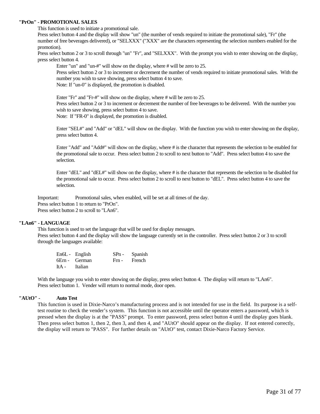#### **"PrOn" - PROMOTIONAL SALES**

This function is used to initiate a promotional sale.

Press select button 4 and the display will show "un" (the number of vends required to initiate the promotional sale), "Fr" (the number of free beverages delivered), or "SELXXX" ("XXX" are the characters representing the selection numbers enabled for the promotion).

Press select button 2 or 3 to scroll through "un" "Fr", and "SELXXX". With the prompt you wish to enter showing on the display, press select button 4.

Enter "un" and "un-#" will show on the display, where # will be zero to 25.

Press select button 2 or 3 to increment or decrement the number of vends required to initiate promotional sales. With the number you wish to save showing, press select button 4 to save. Note: If "un-0" is displayed, the promotion is disabled.

Enter "Fr" and "Fr-#" will show on the display, where # will be zero to 25. Press select button 2 or 3 to increment or decrement the number of free beverages to be delivered. With the number you wish to save showing, press select button 4 to save. Note: If "FR-0" is displayed, the promotion is disabled.

Enter "SEL#" and "Add" or "dEL" will show on the display. With the function you wish to enter showing on the display, press select button 4.

Enter "Add" and "Add#" will show on the display, where # is the character that represents the selection to be enabled for the promotional sale to occur. Press select button 2 to scroll to next button to "Add". Press select button 4 to save the selection.

Enter "dEL" and "dEL#" will show on the display, where # is the character that represents the selection to be disabled for the promotional sale to occur. Press select button 2 to scroll to next button to "dEL". Press select button 4 to save the selection.

Important: Promotional sales, when enabled, will be set at all times of the day. Press select button 1 to return to "PrOn". Press select button 2 to scroll to "LAn6".

#### **"LAn6" - LANGUAGE**

This function is used to set the language that will be used for display messages. Press select button 4 and the display will show the language currently set in the controller. Press select button 2 or 3 to scroll through the languages available:

|               | En6L - English | SPn - Spanish |
|---------------|----------------|---------------|
|               | 6Ern - German  | Frn - French  |
| ItA - Italian |                |               |

With the language you wish to enter showing on the display, press select button 4. The display will return to "LAn6". Press select button 1. Vender will return to normal mode, door open.

#### **"AUtO" - Auto Test**

This function is used in Dixie-Narco's manufacturing process and is not intended for use in the field. Its purpose is a selftest routine to check the vender's system. This function is not accessible until the operator enters a password, which is pressed when the display is at the "PASS" prompt. To enter password, press select button 4 until the display goes blank. Then press select button 1, then 2, then 3, and then 4, and "AUtO" should appear on the display. If not entered correctly, the display will return to "PASS". For further details on "AUtO" test, contact Dixie-Narco Factory Service.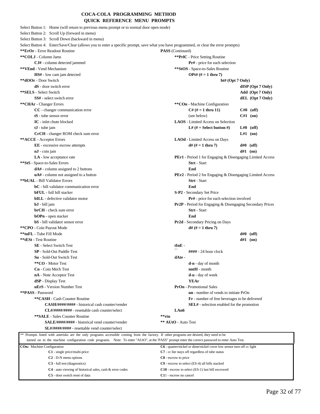#### **COCA-COLA PROGRAMMING METHOD QUICK REFERENCE MENU PROMPTS**

<span id="page-31-0"></span>

| Select Button 1: Home (will return to previous menu prompt or to normal door open mode)<br>Select Button 2: Scroll Up (forward in menu)          |                                                                       |                     |
|--------------------------------------------------------------------------------------------------------------------------------------------------|-----------------------------------------------------------------------|---------------------|
| Select Button 3: Scroll Down (backward in menu)                                                                                                  |                                                                       |                     |
| Select Button 4: Enter/Save/Clear (allows you to enter a specific prompt, save what you have programmed, or clear the error prompts)             |                                                                       |                     |
| **ErOr - Error Readout Routine                                                                                                                   | <b>PASS</b> (Continued)                                               |                     |
| **COLJ - Column Jams                                                                                                                             | <b>**PrIC</b> - Price Setting Routine                                 |                     |
| CJ# - column detected jammed                                                                                                                     | <b>Pr#</b> - price for each selection                                 |                     |
| **VEnd - Vend Mechanism                                                                                                                          | **StOS - Space-to-Sales Routine                                       |                     |
| <b>HS#</b> - low cam jam detected                                                                                                                | <b>OPt#</b> $(# = 1$ thru 7)                                          |                     |
| **dOOr - Door Switch                                                                                                                             | bt# (Opt 7 Only)                                                      |                     |
| $dS$ - door switch error                                                                                                                         |                                                                       | $dISP$ (Opt 7 Only) |
| **SELS - Select Switch                                                                                                                           |                                                                       | Add (Opt 7 Only)    |
| SS# - select switch error                                                                                                                        |                                                                       | $dEL$ (Opt 7 Only)  |
| ** CHAr - Changer Errors                                                                                                                         | **COn - Machine Configuration                                         |                     |
| CC - changer communication error                                                                                                                 | $C#$ (# = 1 thru 11)                                                  | $C#0$ (off)         |
| $tS$ - tube sensor error                                                                                                                         | (see below)                                                           | $C#1$ (on)          |
| <b>IC</b> - inlet chute blocked                                                                                                                  | <b>LAOS</b> - Limited Access on Selection                             |                     |
| $tJ$ - tube jam                                                                                                                                  | L# $(\# = \text{Select button } \#)$                                  | $L#0$ (off)         |
| CrCH - changer ROM check sum error                                                                                                               |                                                                       | $L#1$ (on)          |
| ** ACCE - Acceptor Errors                                                                                                                        | <b>LAOd</b> - Limited Access on Days                                  |                     |
| EE - excessive escrow attempts                                                                                                                   | $d#$ (# = 1 thru 7)                                                   | $d\#0$ (off)        |
| $nJ$ - coin jam                                                                                                                                  |                                                                       | $d#1$ (on)          |
| LA - low acceptance rate                                                                                                                         | <b>PEr1</b> - Period 1 for Engaging & Disengaging Limited Access      |                     |
| **StS - Space-to-Sales Errors                                                                                                                    | Strt - Start                                                          |                     |
| $dA#$ - column assigned to 2 buttons                                                                                                             | End                                                                   |                     |
| $uA#$ - column not assigned to a button                                                                                                          | <b>PEr2</b> - Period 2 for Engaging & Disengaging Limited Access      |                     |
| <b>**bUAL</b> - Bill Validator Errors                                                                                                            | <b>Strt</b> - Start                                                   |                     |
| <b>bC</b> - bill validator communication error                                                                                                   | End                                                                   |                     |
| <b>bFUL</b> - full bill stacker                                                                                                                  | <b>S-P2</b> - Secondary Set Price                                     |                     |
| <b>bILL</b> - defective validator motor                                                                                                          | <b>Pr#</b> - price for each selection involved                        |                     |
| bJ - bill jam                                                                                                                                    | <b>Pr2P</b> - Period for Engaging & Disengaging Secondary Prices      |                     |
| $brCH$ - check sum error                                                                                                                         | <b>Strt</b> - Start                                                   |                     |
| <b>bOPn</b> - open stacker                                                                                                                       | End                                                                   |                     |
| <b>bS</b> - bill validator sensor error                                                                                                          | Pr2d - Secondary Pricing on Days                                      |                     |
| **CPO - Coin Payout Mode                                                                                                                         | $d#$ (# = 1 thru 7)                                                   |                     |
| **tuFL - Tube Fill Mode                                                                                                                          |                                                                       | $d\#0$ (off)        |
| **tESt - Test Routine                                                                                                                            |                                                                       | $d#1$ (on)          |
| <b>SE</b> - Select Switch Test                                                                                                                   | $tInE -$                                                              |                     |
| <b>SP</b> - Sold-Out Paddle Test                                                                                                                 | $\# \# \# \# 24$ hour clock                                           |                     |
| <b>Su</b> - Sold-Out Switch Test                                                                                                                 | dAte -                                                                |                     |
| **CO - Motor Test                                                                                                                                | $d-n$ - day of month                                                  |                     |
| Cn - Coin Mech Test                                                                                                                              | $n$ nt $H$ - month                                                    |                     |
| nA - Note Acceptor Test                                                                                                                          | <b>d-u</b> - day of week                                              |                     |
| dSP - Display Test                                                                                                                               | YEAr                                                                  |                     |
| uErS - Version Number Test                                                                                                                       | <b>PrOn</b> - Promotional Sales                                       |                     |
| **PASS - Password                                                                                                                                | <b>un</b> - number of vends to initiate PrOn                          |                     |
| **CASH - Cash Counter Routine                                                                                                                    | Fr - number of free beverages to be delivered                         |                     |
| <b>CASH/##########</b> - historical cash counter/vender                                                                                          | <b>SEL#</b> - selection enabled for the promotion                     |                     |
| CL#/####/#### - resettable cash counter/select                                                                                                   | LAn6                                                                  |                     |
| **SALE - Sales Counter Routine                                                                                                                   | **rtn                                                                 |                     |
| <b>SALE/####/####</b> - historical vend counter/vender                                                                                           | ** AUtO - Auto Test                                                   |                     |
| <b>SL#/####/####</b> - resettable vend counter/select                                                                                            |                                                                       |                     |
| ** Prompts listed with asterisks are the only programs accessible coming from the factory. If other programs are desired, they need to be        |                                                                       |                     |
| turned on in the machine configuration code programs. Note: To enter "AUtO", at the 'PASS" prompt enter the correct password to enter Auto Test. |                                                                       |                     |
| COn: Machine Configuration                                                                                                                       | C6 - quarter/nickel or dime/nickel cover low sensor turn off cc light |                     |
| C1 - single price/multi-price                                                                                                                    | C7 - cc lite stays off regardless of tube status                      |                     |
| $C2$ - D-N menu options                                                                                                                          | C8 - escrow to price                                                  |                     |
| C <sub>3</sub> - full test (diagnostics)                                                                                                         | C9 - escrow to select (ES-4) all bills stacked                        |                     |
|                                                                                                                                                  |                                                                       |                     |
| $C4$ - auto viewing of historical sales, cash & error codes                                                                                      | C10 - escrow to select (ES-1) last bill escrowed                      |                     |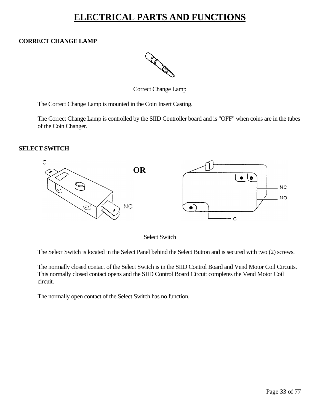# **ELECTRICAL PARTS AND FUNCTIONS**

### <span id="page-32-0"></span>**CORRECT CHANGE LAMP**



Correct Change Lamp

The Correct Change Lamp is mounted in the Coin Insert Casting.

The Correct Change Lamp is controlled by the SIID Controller board and is "OFF" when coins are in the tubes of the Coin Changer.

#### **SELECT SWITCH**



Select Switch

The Select Switch is located in the Select Panel behind the Select Button and is secured with two (2) screws.

The normally closed contact of the Select Switch is in the SIID Control Board and Vend Motor Coil Circuits. This normally closed contact opens and the SIID Control Board Circuit completes the Vend Motor Coil circuit.

The normally open contact of the Select Switch has no function.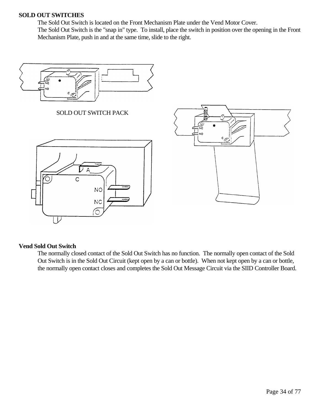#### **SOLD OUT SWITCHES**

The Sold Out Switch is located on the Front Mechanism Plate under the Vend Motor Cover. The Sold Out Switch is the "snap in" type. To install, place the switch in position over the opening in the Front Mechanism Plate, push in and at the same time, slide to the right.



#### **Vend Sold Out Switch**

The normally closed contact of the Sold Out Switch has no function. The normally open contact of the Sold Out Switch is in the Sold Out Circuit (kept open by a can or bottle). When not kept open by a can or bottle, the normally open contact closes and completes the Sold Out Message Circuit via the SIID Controller Board.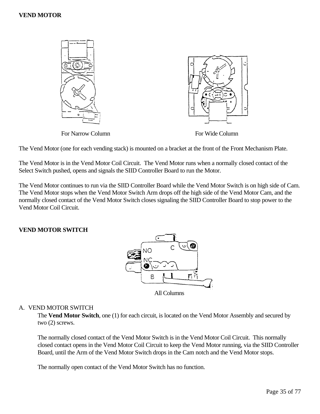#### **VEND MOTOR**



The Vend Motor (one for each vending stack) is mounted on a bracket at the front of the Front Mechanism Plate.

The Vend Motor is in the Vend Motor Coil Circuit. The Vend Motor runs when a normally closed contact of the Select Switch pushed, opens and signals the SIID Controller Board to run the Motor.

The Vend Motor continues to run via the SIID Controller Board while the Vend Motor Switch is on high side of Cam. The Vend Motor stops when the Vend Motor Switch Arm drops off the high side of the Vend Motor Cam, and the normally closed contact of the Vend Motor Switch closes signaling the SIID Controller Board to stop power to the Vend Motor Coil Circuit.

#### **VEND MOTOR SWITCH**



#### A. VEND MOTOR SWITCH

The **Vend Motor Switch**, one (1) for each circuit, is located on the Vend Motor Assembly and secured by two (2) screws.

The normally closed contact of the Vend Motor Switch is in the Vend Motor Coil Circuit. This normally closed contact opens in the Vend Motor Coil Circuit to keep the Vend Motor running, via the SIID Controller Board, until the Arm of the Vend Motor Switch drops in the Cam notch and the Vend Motor stops.

The normally open contact of the Vend Motor Switch has no function.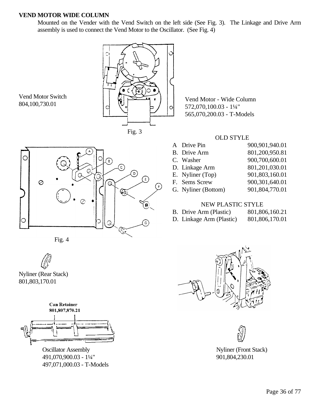#### **VEND MOTOR WIDE COLUMN**

Mounted on the Vender with the Vend Switch on the left side (See Fig. 3). The Linkage and Drive Arm assembly is used to connect the Vend Motor to the Oscillator. (See Fig. 4)



Fig. 3

С  $\widehat{\epsilon}$ ල)  $\bigodot$  $\circ$ Q Ģ

Fig. 4

Vend Motor Switch 804,100,730.01

Nyliner (Rear Stack) 801,803,170.01



491,070,900.03 - 1¼" 901,804,230.01 497,071,000.03 - T-Models

Vend Motor - Wide Column 572,070,100.03 - 1¼" 565,070,200.03 - T-Models

#### OLD STYLE

| A Drive Pin         | 900,901,940.01 |
|---------------------|----------------|
| B. Drive Arm        | 801,200,950.81 |
| C. Washer           | 900,700,600.01 |
| D. Linkage Arm      | 801,201,030.01 |
| E. Nyliner (Top)    | 901,803,160.01 |
| F. Sems Screw       | 900,301,640.01 |
| G. Nyliner (Bottom) | 901,804,770.01 |
|                     |                |

#### NEW PLASTIC STYLE

- B. Drive Arm (Plastic) 801,806,160.21
- D. Linkage Arm (Plastic) 801,806,170.01





Oscillator Assembly Nyliner (Front Stack)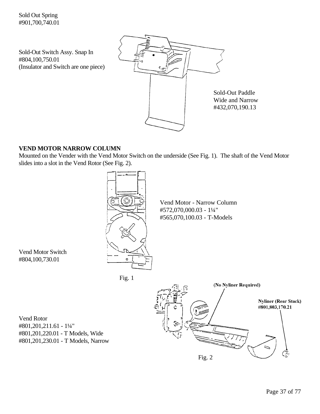Sold-Out Switch Assy. Snap In #804,100,750.01 (Insulator and Switch are one piece)



### **VEND MOTOR NARROW COLUMN**

Mounted on the Vender with the Vend Motor Switch on the underside (See Fig. 1). The shaft of the Vend Motor slides into a slot in the Vend Rotor (See Fig. 2).



Vend Motor - Narrow Column #572,070,000.03 - 1¼" #565,070,100.03 - T-Models

Vend Motor Switch #804,100,730.01

Fig. 1



Vend Rotor #801,201,211.61 - 1¼" #801,201,220.01 - T Models, Wide #801,201,230.01 - T Models, Narrow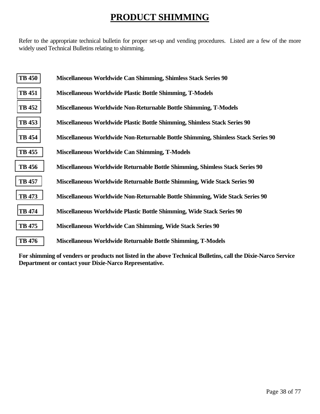# **PRODUCT SHIMMING**

<span id="page-37-0"></span>Refer to the appropriate technical bulletin for proper set-up and vending procedures. Listed are a few of the more widely used Technical Bulletins relating to shimming.

| <b>TB 450</b> | Miscellaneous Worldwide Can Shimming, Shimless Stack Series 90                   |
|---------------|----------------------------------------------------------------------------------|
| <b>TB 451</b> | <b>Miscellaneous Worldwide Plastic Bottle Shimming, T-Models</b>                 |
| <b>TB 452</b> | Miscellaneous Worldwide Non-Returnable Bottle Shimming, T-Models                 |
| <b>TB</b> 453 | Miscellaneous Worldwide Plastic Bottle Shimming, Shimless Stack Series 90        |
| <b>TB</b> 454 | Miscellaneous Worldwide Non-Returnable Bottle Shimming, Shimless Stack Series 90 |
| <b>TB</b> 455 | Miscellaneous Worldwide Can Shimming, T-Models                                   |
| <b>TB</b> 456 | Miscellaneous Worldwide Returnable Bottle Shimming, Shimless Stack Series 90     |
| <b>TB 457</b> | Miscellaneous Worldwide Returnable Bottle Shimming, Wide Stack Series 90         |
| <b>TB</b> 473 | Miscellaneous Worldwide Non-Returnable Bottle Shimming, Wide Stack Series 90     |
| <b>TB</b> 474 | Miscellaneous Worldwide Plastic Bottle Shimming, Wide Stack Series 90            |
| <b>TB</b> 475 | Miscellaneous Worldwide Can Shimming, Wide Stack Series 90                       |
| <b>TB</b> 476 | Miscellaneous Worldwide Returnable Bottle Shimming, T-Models                     |

**For shimming of venders or products not listed in the above Technical Bulletins, call the Dixie-Narco Service Department or contact your Dixie-Narco Representative.**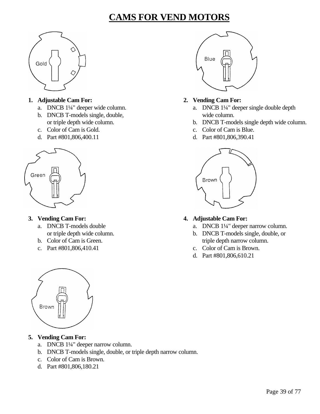# **CAMS FOR VEND MOTORS**



### **1. Adjustable Cam For: 2. Vending Cam For:**

- 
- b. DNCB T-models single, double, wide column.
- 
- 



- -
	-
	- c. Part #801,806,410.41 c. Color of Cam is Brown.





- a. DNCB 1¼" deeper wide column. <br>a. DNCB 1¼" deeper single double depth
	- or triple depth wide column. b. DNCB T-models single depth wide column.
- c. Color of Cam is Gold. c. Color of Cam is Blue.
- d. Part #801,806,400.11 d. Part #801,806,390.41



### **3. Vending Cam For: 4. Adjustable Cam For:**

- a. DNCB T-models double a. DNCB 1¼" deeper narrow column.
- or triple depth wide column. b. DNCB T-models single, double, or b. Color of Cam is Green. triple depth narrow column.
	-
	- d. Part #801,806,610.21



- a. DNCB 1¼" deeper narrow column.
- b. DNCB T-models single, double, or triple depth narrow column.
- c. Color of Cam is Brown.
- d. Part #801,806,180.21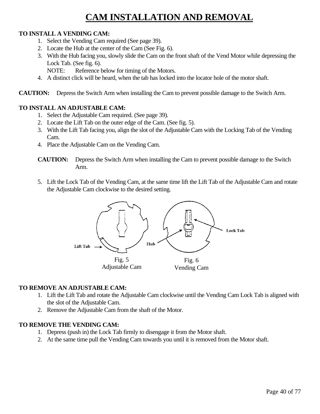# **CAM INSTALLATION AND REMOVAL**

### **TO INSTALL A VENDING CAM:**

- 1. Select the Vending Cam required (See page 39).
- 2. Locate the Hub at the center of the Cam (See Fig. 6).
- 3. With the Hub facing you, slowly slide the Cam on the front shaft of the Vend Motor while depressing the Lock Tab. (See fig. 6).

NOTE: Reference below for timing of the Motors.

4. A distinct click will be heard, when the tab has locked into the locator hole of the motor shaft.

**CAUTION:** Depress the Switch Arm when installing the Cam to prevent possible damage to the Switch Arm.

### **TO INSTALL AN ADJUSTABLE CAM:**

- 1. Select the Adjustable Cam required. (See page 39).
- 2. Locate the Lift Tab on the outer edge of the Cam. (See fig. 5).
- 3. With the Lift Tab facing you, align the slot of the Adjustable Cam with the Locking Tab of the Vending Cam.
- 4. Place the Adjustable Cam on the Vending Cam.

5. Lift the Lock Tab of the Vending Cam, at the same time lift the Lift Tab of the Adjustable Cam and rotate the Adjustable Cam clockwise to the desired setting.



### **TO REMOVE AN ADJUSTABLE CAM:**

- 1. Lift the Lift Tab and rotate the Adjustable Cam clockwise until the Vending Cam Lock Tab is aligned with the slot of the Adjustable Cam.
- 2. Remove the Adjustable Cam from the shaft of the Motor.

### **TO REMOVE THE VENDING CAM:**

- 1. Depress (push in) the Lock Tab firmly to disengage it from the Motor shaft.
- 2. At the same time pull the Vending Cam towards you until it is removed from the Motor shaft.

**CAUTION:** Depress the Switch Arm when installing the Cam to prevent possible damage to the Switch Arm.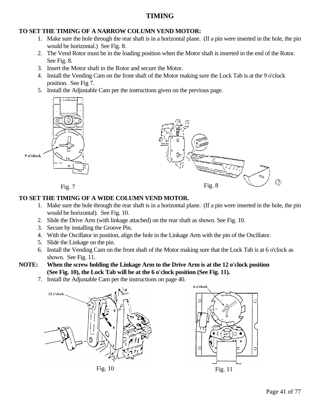### **TIMING**

### **TO SET THE TIMING OF A NARROW COLUMN VEND MOTOR:**

- 1. Make sure the hole through the rear shaft is in a horizontal plane. (If a pin were inserted in the hole, the pin would be horizontal.) See Fig. 8.
- 2. The Vend Rotor must be in the loading position when the Motor shaft is inserted in the end of the Rotor. See Fig. 8.
- 3. Insert the Motor shaft in the Rotor and secure the Motor.
- 4. Install the Vending Cam on the front shaft of the Motor making sure the Lock Tab is at the 9 o'clock position. See Fig 7.
- 5. Install the Adjustable Cam per the instructions given on the previous page.





### **TO SET THE TIMING OF A WIDE COLUMN VEND MOTOR.**

- 1. Make sure the hole through the rear shaft is in a horizontal plane. (If a pin were inserted in the hole, the pin would be horizontal). See Fig. 10.
- 2. Slide the Drive Arm (with linkage attached) on the rear shaft as shown. See Fig. 10.
- 3. Secure by installing the Groove Pin.
- 4. With the Oscillator in position, align the hole in the Linkage Arm with the pin of the Oscillator.
- 5. Slide the Linkage on the pin.
- 6. Install the Vending Cam on the front shaft of the Motor making sure that the Lock Tab is at 6 o'clock as shown. See Fig. 11.

### **NOTE: When the screw holding the Linkage Arm to the Drive Arm is at the 12 o'clock position (See Fig. 10), the Lock Tab will be at the 6 o'clock position (See Fig. 11).**

7. Install the Adjustable Cam per the instructions on page 40.





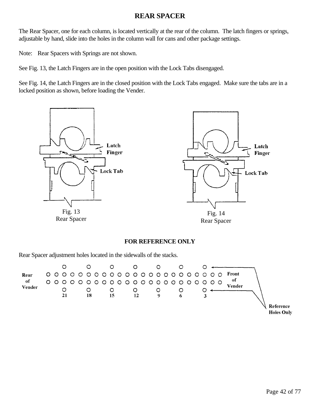### **REAR SPACER**

The Rear Spacer, one for each column, is located vertically at the rear of the column. The latch fingers or springs, adjustable by hand, slide into the holes in the column wall for cans and other package settings.

Note: Rear Spacers with Springs are not shown.

See Fig. 13, the Latch Fingers are in the open position with the Lock Tabs disengaged.

See Fig. 14, the Latch Fingers are in the closed position with the Lock Tabs engaged. Make sure the tabs are in a locked position as shown, before loading the Vender.



#### **FOR REFERENCE ONLY**

Rear Spacer adjustment holes located in the sidewalls of the stacks.

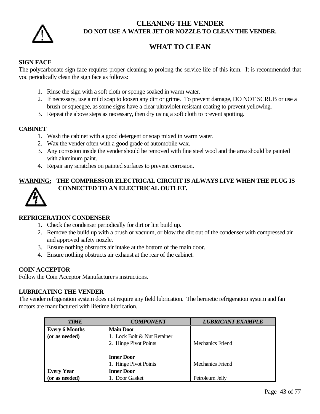

### **CLEANING THE VENDER DO NOT USE A WATER JET OR NOZZLE TO CLEAN THE VENDER.**

## **WHAT TO CLEAN**

### **SIGN FACE**

The polycarbonate sign face requires proper cleaning to prolong the service life of this item. It is recommended that you periodically clean the sign face as follows:

- 1. Rinse the sign with a soft cloth or sponge soaked in warm water.
- 2. If necessary, use a mild soap to loosen any dirt or grime. To prevent damage, DO NOT SCRUB or use a brush or squeegee, as some signs have a clear ultraviolet resistant coating to prevent yellowing.
- 3. Repeat the above steps as necessary, then dry using a soft cloth to prevent spotting.

#### **CABINET**

- 1. Wash the cabinet with a good detergent or soap mixed in warm water.
- 2. Wax the vender often with a good grade of automobile wax.
- 3. Any corrosion inside the vender should be removed with fine steel wool and the area should be painted with aluminum paint.
- 4. Repair any scratches on painted surfaces to prevent corrosion.

### **WARNING: THE COMPRESSOR ELECTRICAL CIRCUIT IS ALWAYS LIVE WHEN THE PLUG IS CONNECTED TO AN ELECTRICAL OUTLET.**



### **REFRIGERATION CONDENSER**

- 1. Check the condenser periodically for dirt or lint build up.
- 2. Remove the build up with a brush or vacuum, or blow the dirt out of the condenser with compressed air and approved safety nozzle.
- 3. Ensure nothing obstructs air intake at the bottom of the main door.
- 4. Ensure nothing obstructs air exhaust at the rear of the cabinet.

#### **COIN ACCEPTOR**

Follow the Coin Acceptor Manufacturer's instructions.

#### **LUBRICATING THE VENDER**

The vender refrigeration system does not require any field lubrication. The hermetic refrigeration system and fan motors are manufactured with lifetime lubrication.

| <b>TIME</b>           | <b>COMPONENT</b>            | <b>LUBRICANT EXAMPLE</b> |
|-----------------------|-----------------------------|--------------------------|
| <b>Every 6 Months</b> | <b>Main Door</b>            |                          |
| (or as needed)        | 1. Lock Bolt & Nut Retainer |                          |
|                       | 2. Hinge Pivot Points       | Mechanics Friend         |
|                       |                             |                          |
|                       | <b>Inner Door</b>           |                          |
|                       | 1. Hinge Pivot Points       | <b>Mechanics Friend</b>  |
| <b>Every Year</b>     | <b>Inner Door</b>           |                          |
| (or as needed)        | 1. Door Gasket              | Petroleum Jelly          |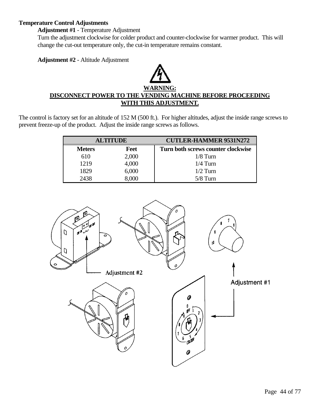#### **Temperature Control Adjustments**

**Adjustment #1** - Temperature Adjustment

Turn the adjustment clockwise for colder product and counter-clockwise for warmer product. This will change the cut-out temperature only, the cut-in temperature remains constant.

**Adjustment #2** - Altitude Adjustment

# **WARNING: DISCONNECT POWER TO THE VENDING MACHINE BEFORE PROCEEDING WITH THIS ADJUSTMENT.**

The control is factory set for an altitude of 152 M (500 ft.). For higher altitudes, adjust the inside range screws to prevent freeze-up of the product. Adjust the inside range screws as follows.

| <b>ALTITUDE</b> |            | <b>CUTLER-HAMMER 9531N272</b>      |
|-----------------|------------|------------------------------------|
| <b>Meters</b>   | Feet       | Turn both screws counter clockwise |
| 610             | 2,000      | $1/8$ Turn                         |
| 1219            | 4,000      | $1/4$ Turn                         |
| 1829            | 6,000      | $1/2$ Turn                         |
| 2438            | $\sim 000$ | $5/8$ Turn                         |

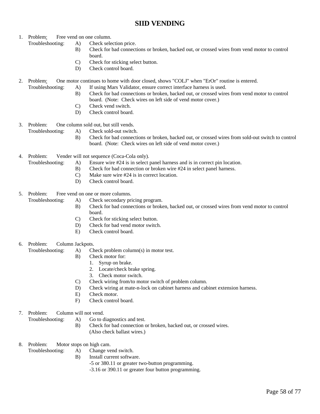### **SIID VENDING**

- 1. Problem: Free vend on one column.
	- Troubleshooting: A) Check selection price.
		- B) Check for bad connections or broken, backed out, or crossed wires from vend motor to control board.
		- C) Check for sticking select button.
		- D) Check control board.
- 2. Problem: One motor continues to home with door closed, shows "COLJ" when "ErOr" routine is entered.
	- Troubleshooting: A) If using Mars Validator, ensure correct interface harness is used.
		- B) Check for bad connections or broken, backed out, or crossed wires from vend motor to control board. (Note: Check wires on left side of vend motor cover.)
		- C) Check vend switch.
		- D) Check control board.
- 3. Problem: One column sold out, but still vends.
	- Troubleshooting: A) Check sold-out switch.
		- B) Check for bad connections or broken, backed out, or crossed wires from sold-out switch to control board. (Note: Check wires on left side of vend motor cover.)
- 4. Problem: Vender will not sequence (Coca-Cola only).
	- Troubleshooting: A) Ensure wire #24 is in select panel harness and is in correct pin location.
		- B) Check for bad connection or broken wire #24 in select panel harness.
		- C) Make sure wire #24 is in correct location.
		- D) Check control board.
- 5. Problem: Free vend on one or more columns.
	- Troubleshooting: A) Check secondary pricing program.
		- B) Check for bad connections or broken, backed out, or crossed wires from vend motor to control board.
		- C) Check for sticking select button.
		- D) Check for bad vend motor switch.
		- E) Check control board.
- 6. Problem: Column Jackpots.
	- Troubleshooting: A) Check problem column(s) in motor test.
		- B) Check motor for:
			- 1. Syrup on brake.
			- 2. Locate/check brake spring.
			- 3. Check motor switch.
		- C) Check wiring from/to motor switch of problem column.
		- D) Check wiring at mate-n-lock on cabinet harness and cabinet extension harness.
		- E) Check motor.
		- F) Check control board.
- 7. Problem: Column will not vend.
	- Troubleshooting: A) Go to diagnostics and test.
		- B) Check for bad connection or broken, backed out, or crossed wires. (Also check ballast wires.)
- 8. Problem: Motor stops on high cam.
	- Troubleshooting: A) Change vend switch.
		- B) Install current software.
			- -5 or 380.11 or greater two-button programming.
			- -3.16 or 390.11 or greater four button programming.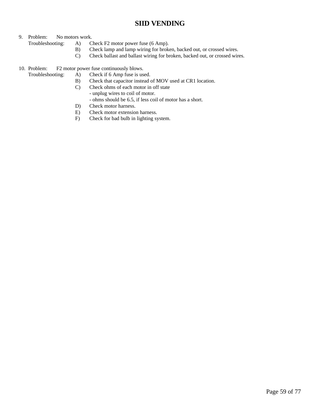### **SIID VENDING**

#### 9. Problem: No motors work.

Troubleshooting: A) Check F2 motor power fuse (6 Amp).

- B) Check lamp and lamp wiring for broken, backed out, or crossed wires.
- C) Check ballast and ballast wiring for broken, backed out, or crossed wires.

10. Problem: F2 motor power fuse continuously blows.

- Troubleshooting: A) Check if 6 Amp fuse is used.
	- B) Check that capacitor instead of MOV used at CR1 location.
	- C) Check ohms of each motor in off state
		- unplug wires to coil of motor.
		- ohms should be 6.5, if less coil of motor has a short.
	- D) Check motor harness.
	- E) Check motor extension harness.
	- F) Check for bad bulb in lighting system.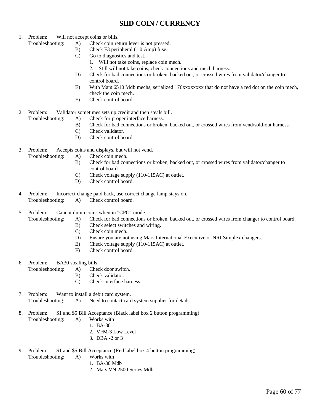### **SIID COIN / CURRENCY**

- 1. Problem: Will not accept coins or bills.
	- Troubleshooting: A) Check coin return lever is not pressed.
		- B) Check F3 peripheral (1.0 Amp) fuse.
		- C) Go to diagnostics and test.
			- 1. Will not take coins, replace coin mech.
			- 2. Still will not take coins, check connections and mech harness.
		- D) Check for bad connections or broken, backed out, or crossed wires from validator/changer to control board.
		- E) With Mars 6510 Mdb mechs, serialized 176xxxxxxxx that do not have a red dot on the coin mech, check the coin mech.
		- F) Check control board.
- 2. Problem: Validator sometimes sets up credit and then steals bill.
	- Troubleshooting: A) Check for proper interface harness.
		- B) Check for bad connections or broken, backed out, or crossed wires from vend/sold-out harness.
		- C) Check validator.
		- D) Check control board.
- 3. Problem: Accepts coins and displays, but will not vend.
	- Troubleshooting: A) Check coin mech.
		- B) Check for bad connections or broken, backed out, or crossed wires from validator/changer to control board.
		- C) Check voltage supply (110-115AC) at outlet.
		- D) Check control board.
- 4. Problem: Incorrect change paid back, use correct change lamp stays on. Troubleshooting: A) Check control board.
- 5. Problem: Cannot dump coins when in "CPO" mode.
	- Troubleshooting: A) Check for bad connections or broken, backed out, or crossed wires from changer to control board.
		- B) Check select switches and wiring.
		- C) Check coin mech.
		- D) Ensure you are not using Mars International Executive or NRI Simplex changers.
		- E) Check voltage supply (110-115AC) at outlet.
		- F) Check control board.
- 6. Problem: BA30 stealing bills.
	- Troubleshooting: A) Check door switch.
		- B) Check validator.
		- C) Check interface harness.
- 7. Problem: Want to install a debit card system. Troubleshooting: A) Need to contact card system supplier for details.
- 8. Problem: \$1 and \$5 Bill Acceptance (Black label box 2 button programming)
	- Troubleshooting: A) Works with
		- 1. BA-30
		- 2. VFM-3 Low Level
		- 3. DBA -2 or 3
- 9. Problem: \$1 and \$5 Bill Acceptance (Red label box 4 button programming)
	- Troubleshooting: A) Works with
		- 1. BA-30 Mdb
		- 2. Mars VN 2500 Series Mdb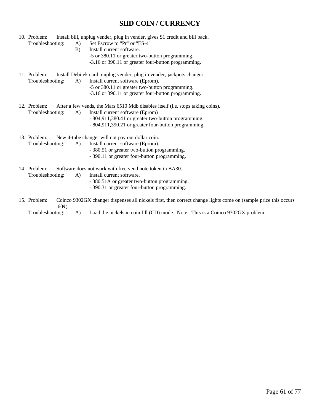### **SIID COIN / CURRENCY**

- 10. Problem: Install bill, unplug vender, plug in vender, gives \$1 credit and bill back. Troubleshooting: A) Set Escrow to "Pr" or "ES-4" B) Install current software. -5 or 380.11 or greater two-button programming. -3.16 or 390.11 or greater four-button programming. 11. Problem: Install Debitek card, unplug vender, plug in vender, jackpots changer. Troubleshooting: A) Install current software (Eprom). -5 or 380.11 or greater two-button programming. -3.16 or 390.11 or greater four-button programming. 12. Problem: After a few vends, the Mars 6510 Mdb disables itself (i.e. stops taking coins). Troubleshooting: A) Install current software (Eprom) - 804,911,380.41 or greater two-button programming. - 804,911,390.21 or greater four-button programming. 13. Problem: New 4-tube changer will not pay out dollar coin. Troubleshooting: A) Install current software (Eprom). - 380.51 or greater two-button programming. - 390.11 or greater four-button programming.
- 14. Problem: Software does not work with free vend note token in BA30.
	- Troubleshooting: A) Install current software.
		- 380.51A or greater two-button programming.
		- 390.31 or greater four-button programming.
- 15. Problem: Coinco 9302GX changer dispenses all nickels first, then correct change lights come on (sample price this occurs  $.60¢$ ).

Troubleshooting: A) Load the nickels in coin fill (CD) mode. Note: This is a Coinco 9302GX problem.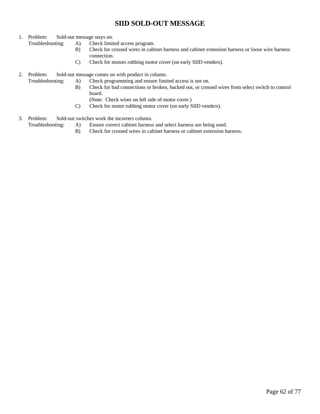### **SIID SOLD-OUT MESSAGE**

- 1. Problem: Sold-out message stays on.
	- Troubleshooting: A) Check limited access program.
		- B) Check for crossed wires in cabinet harness and cabinet extension harness or loose wire harness connection.
		- C) Check for motors rubbing motor cover (on early SIID venders).
- 2. Problem: Sold-out message comes on with product in column.
	- Troubleshooting: A) Check programming and ensure limited access is not on.
		- B) Check for bad connections or broken, backed out, or crossed wires from select switch to control board.
			- (Note: Check wires on left side of motor cover.)
		- C) Check for motor rubbing motor cover (on early SIID venders).
- 3. Problem: Sold-out switches work the incorrect column.
	- Troubleshooting: A) Ensure correct cabinet harness and select harness are being used.
		- B) Check for crossed wires in cabinet harness or cabinet extension harness.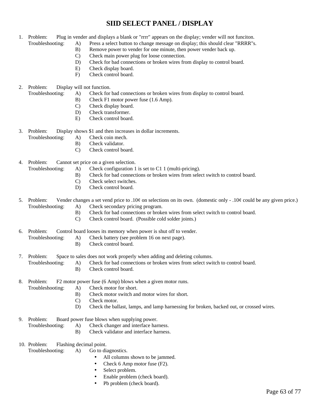### **SIID SELECT PANEL / DISPLAY**

- 1. Problem: Plug in vender and displays a blank or "rrrr" appears on the display; vender will not funciton. Troubleshooting: A) Press a select button to change message on display; this should clear "RRRR"s.
	- B) Remove power to vender for one minute, then power vender back up.
	- C) Check main power plug for loose connection.
	- D) Check for bad connections or broken wires from display to control board.
	- E) Check display board.
	- F) Check control board.
- 2. Problem: Display will not function.
	- Troubleshooting: A) Check for bad connections or broken wires from display to control board.
		- B) Check F1 motor power fuse (1.6 Amp).
		- C) Check display board.
		- D) Check transformer.
		- E) Check control board.

3. Problem: Display shows \$1 and then increases in dollar increments.

- Troubleshooting: A) Check coin mech.
	- B) Check validator.
	- C) Check control board.
- 4. Problem: Cannot set price on a given selection.
	- Troubleshooting: A) Check configuration 1 is set to C1 1 (multi-pricing).
		- B) Check for bad connections or broken wires from select switch to control board.
		- C) Check select switches.
		- D) Check control board.
- 5. Problem: Vender changes a set vend price to .10 $\phi$  on selections on its own. (domestic only .10 $\phi$  could be any given price.) Troubleshooting: A) Check secondary pricing program.
	- B) Check for bad connections or broken wires from select switch to control board.
	- C) Check control board. (Possible cold solder joints.)
- 6. Problem: Control board looses its memory when power is shut off to vender.
	- Troubleshooting: A) Check battery (see problem 16 on next page).
		- B) Check control board.
- 7. Problem: Space to sales does not work properly when adding and deleting columns.
	- Troubleshooting: A) Check for bad connections or broken wires from select switch to control board.
		- B) Check control board.
- 8. Problem: F2 motor power fuse (6 Amp) blows when a given motor runs.
	- Troubleshooting: A) Check motor for short.
		- B) Check motor switch and motor wires for short.
		- C) Check motor.
		- D) Check the ballast, lamps, and lamp harnessing for broken, backed out, or crossed wires.
- 9. Problem: Board power fuse blows when supplying power.
	- Troubleshooting: A) Check changer and interface harness.
		- B) Check validator and interface harness.
- 10. Problem: Flashing decimal point.
	- Troubleshooting: A) Go to diagnostics.
		- All columns shown to be jammed.
		- Check 6 Amp motor fuse (F2).
		- Select problem.
		- Enable problem (check board).
		- Pb problem (check board).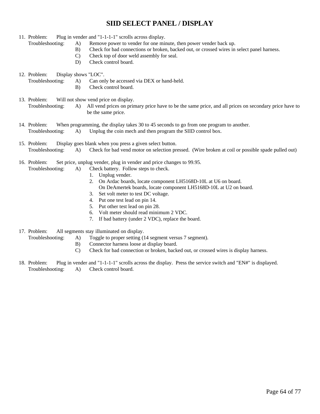### **SIID SELECT PANEL / DISPLAY**

- 11. Problem: Plug in vender and "1-1-1-1" scrolls across display.
	- Troubleshooting: A) Remove power to vender for one minute, then power vender back up.
		- B) Check for bad connections or broken, backed out, or crossed wires in select panel harness.
		- C) Check top of door weld assembly for seal.
		- D) Check control board.
- 12. Problem: Display shows "LOC".
	- Troubleshooting: A) Can only be accessed via DEX or hand-held.
		- B) Check control board.
- 13. Problem: Will not show vend price on display. Troubleshooting: A) All vend prices on primary price have to be the same price, and all prices on secondary price have to be the same price.
- 14. Problem: When programming, the display takes 30 to 45 seconds to go from one program to another. Troubleshooting: A) Unplug the coin mech and then program the SIID control box.
- 15. Problem: Display goes blank when you press a given select button. Troubleshooting: A) Check for bad vend motor on selection pressed. (Wire broken at coil or possible spade pulled out)
- 16. Problem: Set price, unplug vender, plug in vender and price changes to 99.95. Troubleshooting: A) Check battery. Follow steps to check.
	- 1. Unplug vender.
	- 2. On Ardac boards, locate component LH5168D-10L at U6 on board.
	- On DeAmertek boards, locate component LH5168D-10L at U2 on board.
	- 3. Set volt meter to test DC voltage.
	- 4. Put one test lead on pin 14.
	- 5. Put other test lead on pin 28.
	- 6. Volt meter should read minimum 2 VDC.
	- 7. If bad battery (under 2 VDC), replace the board.
- 17. Problem: All segments stay illuminated on display.
	- Troubleshooting: A) Toggle to proper setting (14 segment versus 7 segment).
		- B) Connector harness loose at display board.
		- C) Check for bad connection or broken, backed out, or crossed wires is display harness.
- 18. Problem: Plug in vender and "1-1-1-1" scrolls across the display. Press the service switch and "EN#" is displayed. Troubleshooting: A) Check control board.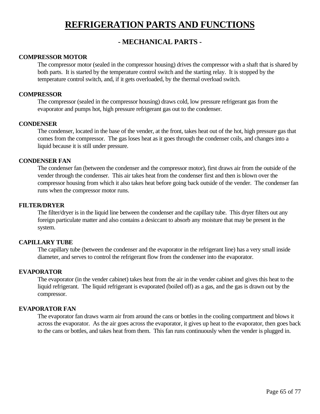# **REFRIGERATION PARTS AND FUNCTIONS**

### **- MECHANICAL PARTS -**

#### **COMPRESSOR MOTOR**

The compressor motor (sealed in the compressor housing) drives the compressor with a shaft that is shared by both parts. It is started by the temperature control switch and the starting relay. It is stopped by the temperature control switch, and, if it gets overloaded, by the thermal overload switch.

#### **COMPRESSOR**

The compressor (sealed in the compressor housing) draws cold, low pressure refrigerant gas from the evaporator and pumps hot, high pressure refrigerant gas out to the condenser.

#### **CONDENSER**

The condenser, located in the base of the vender, at the front, takes heat out of the hot, high pressure gas that comes from the compressor. The gas loses heat as it goes through the condenser coils, and changes into a liquid because it is still under pressure.

#### **CONDENSER FAN**

The condenser fan (between the condenser and the compressor motor), first draws air from the outside of the vender through the condenser. This air takes heat from the condenser first and then is blown over the compressor housing from which it also takes heat before going back outside of the vender. The condenser fan runs when the compressor motor runs.

#### **FILTER/DRYER**

The filter/dryer is in the liquid line between the condenser and the capillary tube. This dryer filters out any foreign particulate matter and also contains a desiccant to absorb any moisture that may be present in the system.

#### **CAPILLARY TUBE**

The capillary tube (between the condenser and the evaporator in the refrigerant line) has a very small inside diameter, and serves to control the refrigerant flow from the condenser into the evaporator.

#### **EVAPORATOR**

The evaporator (in the vender cabinet) takes heat from the air in the vender cabinet and gives this heat to the liquid refrigerant. The liquid refrigerant is evaporated (boiled off) as a gas, and the gas is drawn out by the compressor.

#### **EVAPORATOR FAN**

The evaporator fan draws warm air from around the cans or bottles in the cooling compartment and blows it across the evaporator. As the air goes across the evaporator, it gives up heat to the evaporator, then goes back to the cans or bottles, and takes heat from them. This fan runs continuously when the vender is plugged in.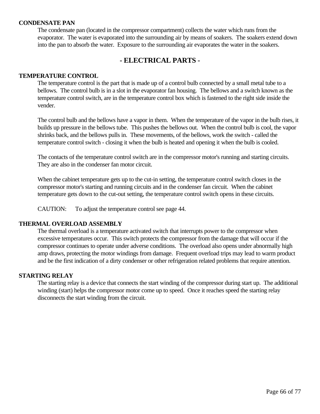#### **CONDENSATE PAN**

The condensate pan (located in the compressor compartment) collects the water which runs from the evaporator. The water is evaporated into the surrounding air by means of soakers. The soakers extend down into the pan to absorb the water. Exposure to the surrounding air evaporates the water in the soakers.

### **- ELECTRICAL PARTS -**

#### **TEMPERATURE CONTROL**

The temperature control is the part that is made up of a control bulb connected by a small metal tube to a bellows. The control bulb is in a slot in the evaporator fan housing. The bellows and a switch known as the temperature control switch, are in the temperature control box which is fastened to the right side inside the vender.

The control bulb and the bellows have a vapor in them. When the temperature of the vapor in the bulb rises, it builds up pressure in the bellows tube. This pushes the bellows out. When the control bulb is cool, the vapor shrinks back, and the bellows pulls in. These movements, of the bellows, work the switch - called the temperature control switch - closing it when the bulb is heated and opening it when the bulb is cooled.

The contacts of the temperature control switch are in the compressor motor's running and starting circuits. They are also in the condenser fan motor circuit.

When the cabinet temperature gets up to the cut-in setting, the temperature control switch closes in the compressor motor's starting and running circuits and in the condenser fan circuit. When the cabinet temperature gets down to the cut-out setting, the temperature control switch opens in these circuits.

CAUTION: To adjust the temperature control see page 44.

#### **THERMAL OVERLOAD ASSEMBLY**

The thermal overload is a temperature activated switch that interrupts power to the compressor when excessive temperatures occur. This switch protects the compressor from the damage that will occur if the compressor continues to operate under adverse conditions. The overload also opens under abnormally high amp draws, protecting the motor windings from damage. Frequent overload trips may lead to warm product and be the first indication of a dirty condenser or other refrigeration related problems that require attention.

#### **STARTING RELAY**

The starting relay is a device that connects the start winding of the compressor during start up. The additional winding (start) helps the compressor motor come up to speed. Once it reaches speed the starting relay disconnects the start winding from the circuit.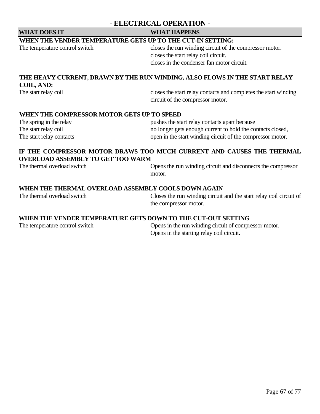### **- ELECTRICAL OPERATION -**

### **WHAT DOES IT WHAT HAPPENS**

#### **WHEN THE VENDER TEMPERATURE GETS UP TO THE CUT-IN SETTING:**

The temperature control switch closes the run winding circuit of the compressor motor. closes the start relay coil circuit. closes in the condenser fan motor circuit.

### **THE HEAVY CURRENT, DRAWN BY THE RUN WINDING, ALSO FLOWS IN THE START RELAY COIL, AND:**

The start relay coil closes the start relay contacts and completes the start winding circuit of the compressor motor.

#### **WHEN THE COMPRESSOR MOTOR GETS UP TO SPEED**

| The spring in the relay  | pushes the start relay contacts apart because              |
|--------------------------|------------------------------------------------------------|
| The start relay coil     | no longer gets enough current to hold the contacts closed, |
| The start relay contacts | open in the start winding circuit of the compressor motor. |

### **IF THE COMPRESSOR MOTOR DRAWS TOO MUCH CURRENT AND CAUSES THE THERMAL OVERLOAD ASSEMBLY TO GET TOO WARM**

The thermal overload switch Opens the run winding circuit and disconnects the compressor motor.

### **WHEN THE THERMAL OVERLOAD ASSEMBLY COOLS DOWN AGAIN**

The thermal overload switch Closes the run winding circuit and the start relay coil circuit of the compressor motor.

#### **WHEN THE VENDER TEMPERATURE GETS DOWN TO THE CUT-OUT SETTING**

The temperature control switch Opens in the run winding circuit of compressor motor. Opens in the starting relay coil circuit.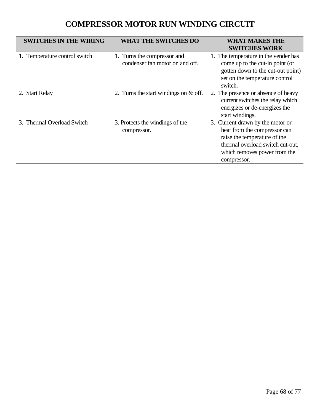# **COMPRESSOR MOTOR RUN WINDING CIRCUIT**

| <b>SWITCHES IN THE WIRING</b> | <b>WHAT THE SWITCHES DO</b>                                    | <b>WHAT MAKES THE</b><br><b>SWITCHES WORK</b>                                                                                                                                       |
|-------------------------------|----------------------------------------------------------------|-------------------------------------------------------------------------------------------------------------------------------------------------------------------------------------|
| 1. Temperature control switch | 1. Turns the compressor and<br>condenser fan motor on and off. | 1. The temperature in the vender has<br>come up to the cut-in point (or<br>gotten down to the cut-out point)<br>set on the temperature control<br>switch.                           |
| 2. Start Relay                | 2. Turns the start windings on & off.                          | 2. The presence or absence of heavy<br>current switches the relay which<br>energizes or de-energizes the<br>start windings.                                                         |
| 3. Thermal Overload Switch    | 3. Protects the windings of the<br>compressor.                 | 3. Current drawn by the motor or<br>heat from the compressor can<br>raise the temperature of the<br>thermal overload switch cut-out,<br>which removes power from the<br>compressor. |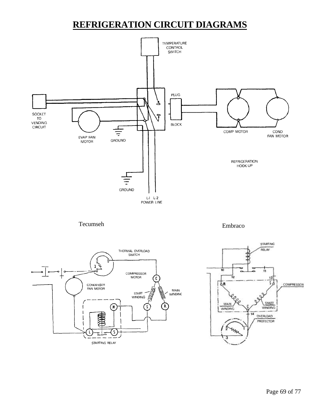# **REFRIGERATION CIRCUIT DIAGRAMS**



J,

STARTING RELAY

14

чm

3

OVERLOAD PROTECTOR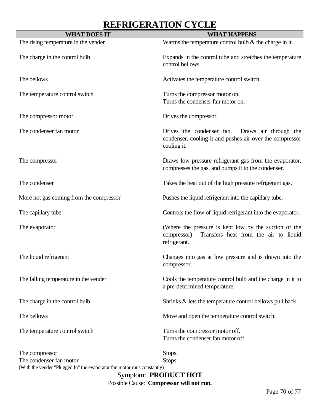# **REFRIGERATION CYCLE**

| <b>WHAT DOES IT</b>                                                     | <b>WHAT HAPPENS</b>                                                                                                           |
|-------------------------------------------------------------------------|-------------------------------------------------------------------------------------------------------------------------------|
| The rising temperature in the vender                                    | Warms the temperature control bulb $\&$ the charge in it.                                                                     |
| The charge in the control bulb                                          | Expands in the control tube and stretches the temperature<br>control bellows.                                                 |
| The bellows                                                             | Activates the temperature control switch.                                                                                     |
| The temperature control switch                                          | Turns the compressor motor on.<br>Turns the condenser fan motor on.                                                           |
| The compressor motor                                                    | Drives the compressor.                                                                                                        |
| The condenser fan motor                                                 | Drives the condenser fan.<br>Draws air through the<br>condenser, cooling it and pushes air over the compressor<br>cooling it. |
| The compressor                                                          | Draws low pressure refrigerant gas from the evaporator,<br>compresses the gas, and pumps it to the condenser.                 |
| The condenser                                                           | Takes the heat out of the high pressure refrigerant gas.                                                                      |
| More hot gas coming from the compressor                                 | Pushes the liquid refrigerant into the capillary tube.                                                                        |
| The capillary tube                                                      | Controls the flow of liquid refrigerant into the evaporator.                                                                  |
| The evaporator                                                          | (Where the pressure is kept low by the suction of the<br>Transfers heat from the air to liquid<br>compressor)<br>refrigerant. |
| The liquid refrigerant                                                  | Changes into gas at low pressure and is drawn into the<br>compressor.                                                         |
| The falling temperature in the vender                                   | Cools the temperature control bulb and the charge in it to<br>a pre-determined temperature.                                   |
| The charge in the control bulb                                          | Shrinks & lets the temperature control bellows pull back                                                                      |
| The bellows                                                             | Move and open the temperature control switch.                                                                                 |
| The temperature control switch                                          | Turns the compressor motor off.<br>Turns the condenser fan motor off.                                                         |
| The compressor                                                          | Stops.                                                                                                                        |
| The condenser fan motor                                                 | Stops.                                                                                                                        |
| (With the vender "Plugged In" the evaporator fan motor runs constantly) |                                                                                                                               |

Symptom: **PRODUCT HOT** Possible Cause: **Compressor will not run.**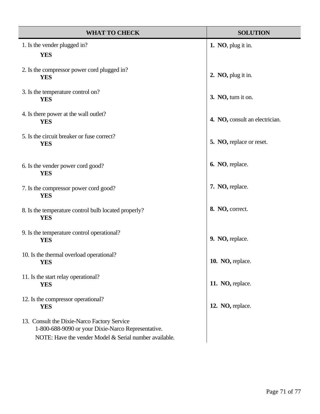| <b>WHAT TO CHECK</b>                                                                                                                                        | <b>SOLUTION</b>                |
|-------------------------------------------------------------------------------------------------------------------------------------------------------------|--------------------------------|
| 1. Is the vender plugged in?                                                                                                                                | 1. NO, plug it in.             |
| <b>YES</b>                                                                                                                                                  |                                |
| 2. Is the compressor power cord plugged in?<br><b>YES</b>                                                                                                   | 2. NO, plug it in.             |
| 3. Is the temperature control on?<br><b>YES</b>                                                                                                             | 3. NO, turn it on.             |
| 4. Is there power at the wall outlet?<br><b>YES</b>                                                                                                         | 4. NO, consult an electrician. |
| 5. Is the circuit breaker or fuse correct?<br><b>YES</b>                                                                                                    | 5. NO, replace or reset.       |
| 6. Is the vender power cord good?<br><b>YES</b>                                                                                                             | 6. NO, replace.                |
| 7. Is the compressor power cord good?<br><b>YES</b>                                                                                                         | 7. NO, replace.                |
| 8. Is the temperature control bulb located properly?<br><b>YES</b>                                                                                          | 8. NO, correct.                |
| 9. Is the temperature control operational?<br><b>YES</b>                                                                                                    | 9. NO, replace.                |
| 10. Is the thermal overload operational?<br><b>YES</b>                                                                                                      | 10. NO, replace.               |
| 11. Is the start relay operational?<br><b>YES</b>                                                                                                           | 11. NO, replace.               |
| 12. Is the compressor operational?<br><b>YES</b>                                                                                                            | 12. NO, replace.               |
| 13. Consult the Dixie-Narco Factory Service<br>1-800-688-9090 or your Dixie-Narco Representative.<br>NOTE: Have the vender Model & Serial number available. |                                |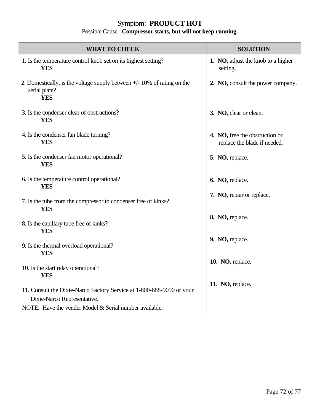### Symptom: **PRODUCT HOT**

#### Possible Cause: **Compressor starts, but will not keep running.**

| WHAT TO CHECK                                                                                            | <b>SOLUTION</b>                                                |  |
|----------------------------------------------------------------------------------------------------------|----------------------------------------------------------------|--|
| 1. Is the temperature control knob set on its highest setting?<br><b>YES</b>                             | 1. NO, adjust the knob to a higher<br>setting.                 |  |
| 2. Domestically, is the voltage supply between $+/-10\%$ of rating on the<br>serial plate?<br><b>YES</b> | 2. NO, consult the power company.                              |  |
| 3. Is the condenser clear of obstructions?<br><b>YES</b>                                                 | 3. NO, clear or clean.                                         |  |
| 4. Is the condenser fan blade turning?<br><b>YES</b>                                                     | 4. NO, free the obstruction or<br>replace the blade if needed. |  |
| 5. Is the condenser fan motor operational?<br><b>YES</b>                                                 | 5. NO, replace.                                                |  |
| 6. Is the temperature control operational?<br><b>YES</b>                                                 | 6. NO, replace.                                                |  |
| 7. Is the tube from the compressor to condenser free of kinks?<br><b>YES</b>                             | 7. NO, repair or replace.                                      |  |
| 8. Is the capillary tube free of kinks?<br><b>YES</b>                                                    | 8. NO, replace.                                                |  |
| 9. Is the thermal overload operational?<br><b>YES</b>                                                    | 9. NO, replace.                                                |  |
| 10. Is the start relay operational?<br><b>YES</b>                                                        | 10. NO, replace.                                               |  |
| 11. Consult the Dixie-Narco Factory Service at 1-800-688-9090 or your<br>Dixie-Narco Representative.     | 11. NO, replace.                                               |  |
| NOTE: Have the vender Model & Serial number available.                                                   |                                                                |  |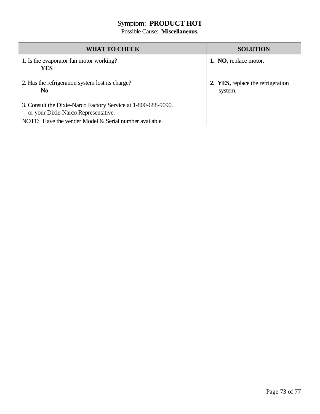### Symptom: **PRODUCT HOT**

Possible Cause: **Miscellaneous.**

| <b>WHAT TO CHECK</b>                                                                                 | <b>SOLUTION</b>                              |
|------------------------------------------------------------------------------------------------------|----------------------------------------------|
| 1. Is the evaporator fan motor working?<br>YES                                                       | 1. NO, replace motor.                        |
| 2. Has the refrigeration system lost its charge?<br>N <sub>0</sub>                                   | 2. YES, replace the refrigeration<br>system. |
| 3. Consult the Dixie-Narco Factory Service at 1-800-688-9090.<br>or your Dixie-Narco Representative. |                                              |
| NOTE: Have the vender Model & Serial number available.                                               |                                              |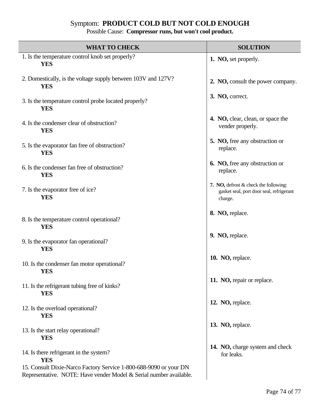# Symptom: **PRODUCT COLD BUT NOT COLD ENOUGH**

Possible Cause: **Compressor runs, but won't cool product.**

| <b>WHAT TO CHECK</b>                                                                                                                    | <b>SOLUTION</b>                                                                              |  |
|-----------------------------------------------------------------------------------------------------------------------------------------|----------------------------------------------------------------------------------------------|--|
| 1. Is the temperature control knob set properly?<br><b>YES</b>                                                                          | 1. NO, set properly.                                                                         |  |
| 2. Domestically, is the voltage supply between 103V and 127V?<br><b>YES</b>                                                             | 2. NO, consult the power company.                                                            |  |
| 3. Is the temperature control probe located properly?<br><b>YES</b>                                                                     | 3. NO, correct.                                                                              |  |
| 4. Is the condenser clear of obstruction?<br><b>YES</b>                                                                                 | 4. NO, clear, clean, or space the<br>vender properly.                                        |  |
| 5. Is the evaporator fan free of obstruction?<br><b>YES</b>                                                                             | 5. NO, free any obstruction or<br>replace.                                                   |  |
| 6. Is the condenser fan free of obstruction?<br><b>YES</b>                                                                              | <b>6. NO</b> , free any obstruction or<br>replace.                                           |  |
| 7. Is the evaporator free of ice?<br><b>YES</b>                                                                                         | 7. NO, defrost & check the following:<br>gasket seal, port door seal, refrigerant<br>charge. |  |
| 8. Is the temperature control operational?<br><b>YES</b>                                                                                | 8. NO, replace.                                                                              |  |
| 9. Is the evaporator fan operational?<br><b>YES</b>                                                                                     | 9. NO, replace.                                                                              |  |
| 10. Is the condenser fan motor operational?<br><b>YES</b>                                                                               | 10. NO, replace.                                                                             |  |
| 11. Is the refrigerant tubing free of kinks?<br><b>YES</b>                                                                              | 11. NO, repair or replace.                                                                   |  |
| 12. Is the overload operational?<br><b>YES</b>                                                                                          | 12. NO, replace.                                                                             |  |
| 13. Is the start relay operational?<br><b>YES</b>                                                                                       | 13. NO, replace.                                                                             |  |
| 14. Is there refrigerant in the system?<br><b>YES</b>                                                                                   | 14. NO, charge system and check<br>for leaks.                                                |  |
| 15. Consult Dixie-Narco Factory Service 1-800-688-9090 or your DN<br>Representative. NOTE: Have vender Model & Serial number available. |                                                                                              |  |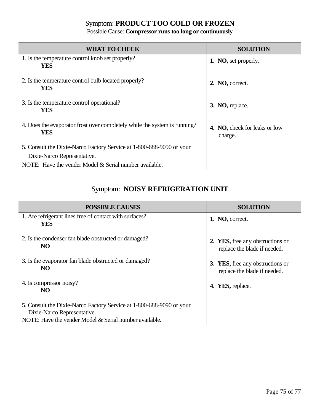## Symptom: **PRODUCT TOO COLD OR FROZEN**

### Possible Cause: **Compressor runs too long or continuously**

| <b>WHAT TO CHECK</b>                                                                                                                                          | <b>SOLUTION</b>                          |
|---------------------------------------------------------------------------------------------------------------------------------------------------------------|------------------------------------------|
| 1. Is the temperature control knob set properly?<br><b>YES</b>                                                                                                | 1. NO, set properly.                     |
| 2. Is the temperature control bulb located properly?<br><b>YES</b>                                                                                            | 2. NO, correct.                          |
| 3. Is the temperature control operational?<br>YES                                                                                                             | 3. NO, replace.                          |
| 4. Does the evaporator frost over completely while the system is running?<br><b>YES</b>                                                                       | 4. NO, check for leaks or low<br>charge. |
| 5. Consult the Dixie-Narco Factory Service at 1-800-688-9090 or your<br>Dixie-Narco Representative.<br>NOTE: Have the vender Model & Serial number available. |                                          |

# Symptom: **NOISY REFRIGERATION UNIT**

| <b>POSSIBLE CAUSES</b>                                                                                                                                        | <b>SOLUTION</b>                                                  |
|---------------------------------------------------------------------------------------------------------------------------------------------------------------|------------------------------------------------------------------|
| 1. Are refrigerant lines free of contact with surfaces?<br>YES                                                                                                | 1. NO, correct.                                                  |
| 2. Is the condenser fan blade obstructed or damaged?<br>NO.                                                                                                   | 2. YES, free any obstructions or<br>replace the blade if needed. |
| 3. Is the evaporator fan blade obstructed or damaged?<br>NO.                                                                                                  | 3. YES, free any obstructions or<br>replace the blade if needed. |
| 4. Is compressor noisy?<br>NO.                                                                                                                                | 4. YES, replace.                                                 |
| 5. Consult the Dixie-Narco Factory Service at 1-800-688-9090 or your<br>Dixie-Narco Representative.<br>NOTE: Have the vender Model & Serial number available. |                                                                  |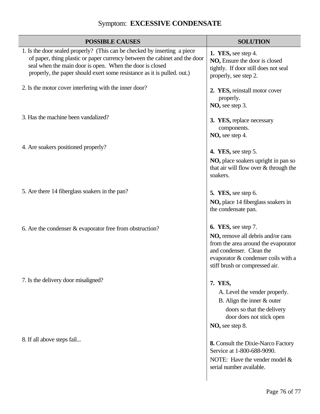# Symptom: **EXCESSIVE CONDENSATE**

| <b>POSSIBLE CAUSES</b>                                                                                                                                                                                                                                                                         | <b>SOLUTION</b>                                                                                                                                                                                      |
|------------------------------------------------------------------------------------------------------------------------------------------------------------------------------------------------------------------------------------------------------------------------------------------------|------------------------------------------------------------------------------------------------------------------------------------------------------------------------------------------------------|
| 1. Is the door sealed properly? (This can be checked by inserting a piece<br>of paper, thing plastic or paper currency between the cabinet and the door<br>seal when the main door is open. When the door is closed<br>properly, the paper should exert some resistance as it is pulled. out.) | 1. YES, see step 4.<br>NO, Ensure the door is closed<br>tightly. If door still does not seal<br>properly, see step 2.                                                                                |
| 2. Is the motor cover interfering with the inner door?                                                                                                                                                                                                                                         | 2. YES, reinstall motor cover<br>properly.<br>NO, see step 3.                                                                                                                                        |
| 3. Has the machine been vandalized?                                                                                                                                                                                                                                                            | 3. YES, replace necessary<br>components.<br>NO, see step 4.                                                                                                                                          |
| 4. Are soakers positioned properly?                                                                                                                                                                                                                                                            | 4. YES, see step 5.<br>NO, place soakers upright in pan so<br>that air will flow over & through the<br>soakers.                                                                                      |
| 5. Are there 14 fiberglass soakers in the pan?                                                                                                                                                                                                                                                 | 5. YES, see step 6.<br>NO, place 14 fiberglass soakers in<br>the condensate pan.                                                                                                                     |
| 6. Are the condenser $&$ evaporator free from obstruction?                                                                                                                                                                                                                                     | 6. YES, see step 7.<br>NO, remove all debris and/or cans<br>from the area around the evaporator<br>and condenser. Clean the<br>evaporator & condenser coils with a<br>stiff brush or compressed air. |
| 7. Is the delivery door misaligned?                                                                                                                                                                                                                                                            | 7. YES,<br>A. Level the vender properly.<br>B. Align the inner $&$ outer<br>doors so that the delivery<br>door does not stick open<br>NO, see step 8.                                                |
| 8. If all above steps fail                                                                                                                                                                                                                                                                     | <b>8.</b> Consult the Dixie-Narco Factory<br>Service at 1-800-688-9090.<br>NOTE: Have the vender model $&$<br>serial number available.                                                               |